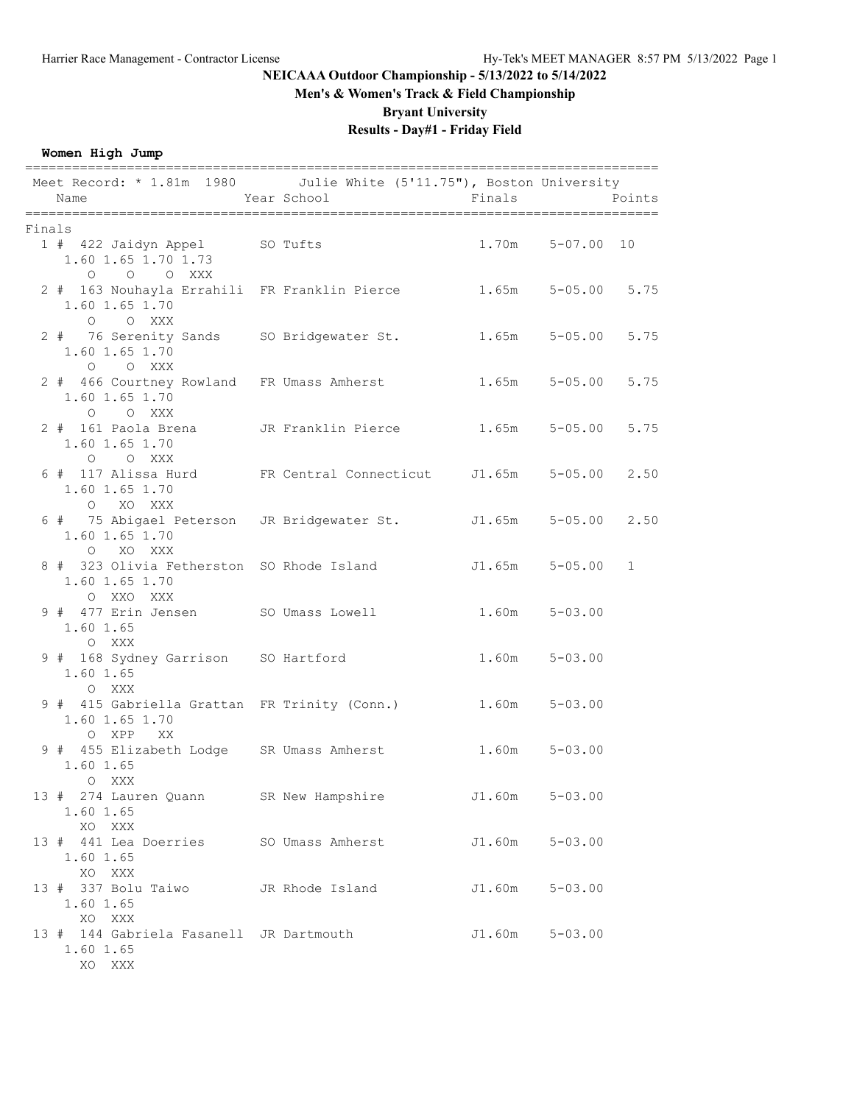# **Men's & Women's Track & Field Championship**

**Bryant University**

# **Results - Day#1 - Friday Field**

## **Women High Jump**

|        | Meet Record: * 1.81m 1980 Julie White (5'11.75"), Boston University<br>Name                  | Year School      | Finals            | Points                    |
|--------|----------------------------------------------------------------------------------------------|------------------|-------------------|---------------------------|
|        |                                                                                              |                  |                   |                           |
| Finals |                                                                                              |                  |                   |                           |
|        | 1 # 422 Jaidyn Appel SO Tufts<br>1.60 1.65 1.70 1.73<br>$O$ $O$ $O$ $XXX$                    |                  |                   | $1.70m$ $5-07.00$ 10      |
|        | 2 # 163 Nouhayla Errahili FR Franklin Pierce 1.65m 5-05.00 5.75<br>1.60 1.65 1.70<br>O O XXX |                  |                   |                           |
|        | 2 # 76 Serenity Sands SO Bridgewater St. 1.65m 5-05.00<br>1.60 1.65 1.70<br>O O XXX          |                  |                   | 5.75                      |
|        | 2 # 466 Courtney Rowland FR Umass Amherst<br>1.60 1.65 1.70<br>O O XXX                       |                  |                   | 5.75<br>$1.65m$ $5-05.00$ |
|        | 2 # 161 Paola Brena     JR Franklin Pierce<br>1.60 1.65 1.70<br>O O XXX                      |                  | 1.65m             | $5 - 05.00$<br>5.75       |
|        | 6 # 117 Alissa Hurd FR Central Connecticut J1.65m 5-05.00<br>1.60 1.65 1.70<br>O XO XXX      |                  |                   | 2.50                      |
|        | 6 # 75 Abigael Peterson JR Bridgewater St. J1.65m 5-05.00 2.50<br>1.60 1.65 1.70<br>O XO XXX |                  |                   |                           |
|        | 8 # 323 Olivia Fetherston SO Rhode Island J1.65m 5-05.00<br>1.60 1.65 1.70<br>O XXO XXX      |                  |                   | 1                         |
|        | 9 # 477 Erin Jensen SO Umass Lowell<br>1.60 1.65<br>O XXX                                    |                  | 1.60m             | $5 - 03.00$               |
|        | 9 # 168 Sydney Garrison SO Hartford<br>1.60 1.65<br>O XXX                                    |                  | $1.60m$ $5-03.00$ |                           |
|        | 9 # 415 Gabriella Grattan FR Trinity (Conn.)<br>1.60 1.65 1.70<br>O XPP XX                   |                  | $1.60m$ $5-03.00$ |                           |
|        | 9 # 455 Elizabeth Lodge SR Umass Amherst<br>1.60 1.65<br>O XXX                               |                  | $1.60m$ $5-03.00$ |                           |
|        | 13 # 274 Lauren Quann<br>1.60 1.65<br>XO XXX                                                 | SR New Hampshire | J1.60m            | $5 - 03.00$               |
|        | 13 # 441 Lea Doerries<br>1.60 1.65<br>XO XXX                                                 | SO Umass Amherst | J1.60m            | $5 - 03.00$               |
|        | 13 # 337 Bolu Taiwo<br>1.60 1.65<br>XO XXX                                                   | JR Rhode Island  | J1.60m            | $5 - 03.00$               |
|        | 13 # 144 Gabriela Fasanell JR Dartmouth<br>1.60 1.65<br>XO XXX                               |                  | J1.60m            | $5 - 03.00$               |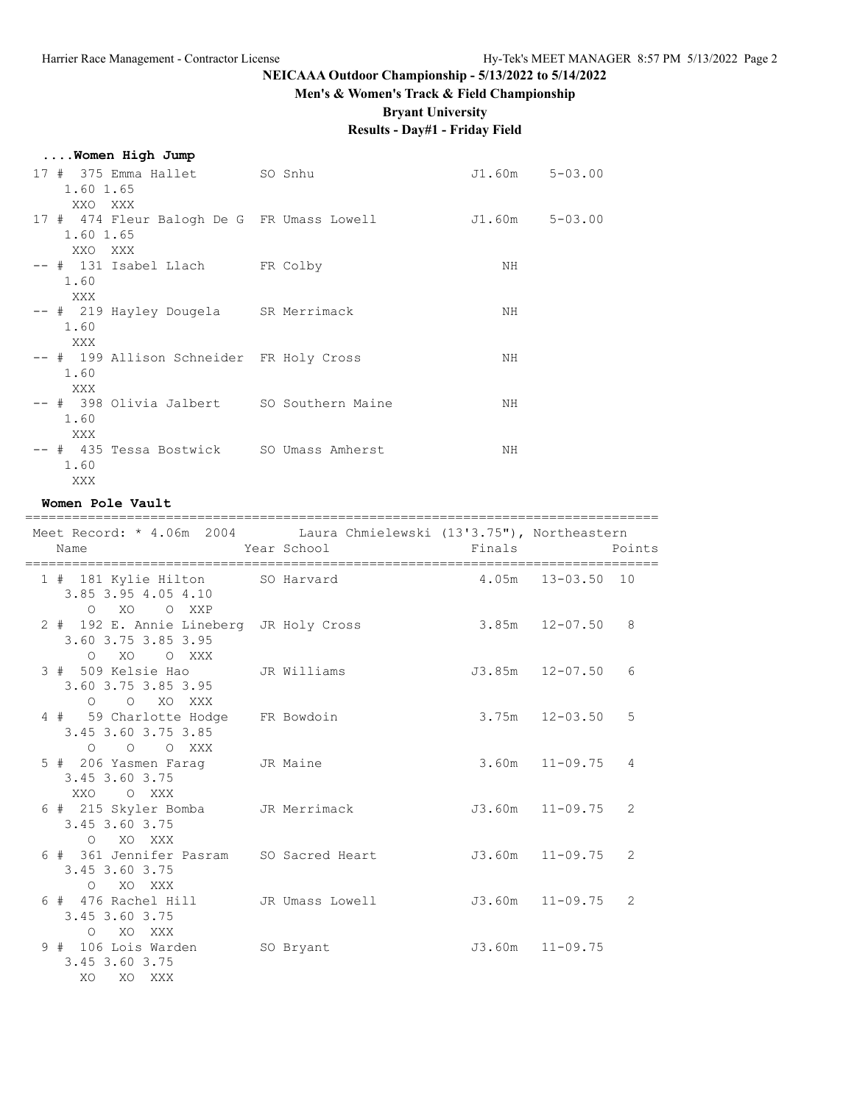# **Men's & Women's Track & Field Championship**

**Bryant University**

# **Results - Day#1 - Friday Field**

|  |  |  | Women High Jump |  |  |
|--|--|--|-----------------|--|--|
|--|--|--|-----------------|--|--|

| 17 # 375 Emma Hallet SO Snhu               | $J1.60m$ $5-03.00$ |  |
|--------------------------------------------|--------------------|--|
| 1.60 1.65                                  |                    |  |
| XXO XXX                                    |                    |  |
| 17 # 474 Fleur Balogh De G FR Umass Lowell | J1.60m 5-03.00     |  |
| 1.60 1.65                                  |                    |  |
| XXO XXX                                    |                    |  |
| -- # 131 Isabel Llach FR Colby             | NH                 |  |
| 1.60                                       |                    |  |
| XXX                                        |                    |  |
| -- # 219 Hayley Dougela SR Merrimack       | NH                 |  |
| 1.60                                       |                    |  |
| XXX                                        |                    |  |
| -- # 199 Allison Schneider FR Holy Cross   | NH                 |  |
| 1.60                                       |                    |  |
| XXX                                        |                    |  |
| -- # 398 Olivia Jalbert SO Southern Maine  | NH                 |  |
| 1.60                                       |                    |  |
| XXX                                        |                    |  |
| -- # 435 Tessa Bostwick SO Umass Amherst   | NH                 |  |
| 1.60                                       |                    |  |
| XXX                                        |                    |  |

#### **Women Pole Vault**

| ;=================================<br>Meet Record: * 4.06m 2004 Laura Chmielewski (13'3.75"), Northeastern |                    | ====================================== |                    |                |
|------------------------------------------------------------------------------------------------------------|--------------------|----------------------------------------|--------------------|----------------|
| Name                                                                                                       | Year School Finals |                                        |                    | Points         |
| 1 # 181 Kylie Hilton SO Harvard 4.05m 13-03.50 10<br>3.85 3.95 4.05 4.10<br>0 XO O XXP                     |                    |                                        |                    |                |
| 2 # 192 E. Annie Lineberg JR Holy Cross<br>3.60 3.75 3.85 3.95<br>O XO O XXX                               |                    | 3.85m 12-07.50 8                       |                    |                |
| 3 # 509 Kelsie Hao<br>3.60 3.75 3.85 3.95<br>O O XO XXX                                                    | JR Williams        | J3.85m 12-07.50                        |                    | 6              |
| 4 # 59 Charlotte Hodge FR Bowdoin<br>3.45 3.60 3.75 3.85<br>$O$ $O$ $O$ $XXX$                              |                    |                                        | $3.75m$ $12-03.50$ | 5              |
| 5 # 206 Yasmen Farag JR Maine<br>3.45 3.60 3.75<br>XXO OXXX                                                |                    |                                        | $3.60m$ $11-09.75$ | $\overline{4}$ |
| 6 # 215 Skyler Bomba JR Merrimack<br>3.45 3.60 3.75<br>O XO XXX                                            |                    | J3.60m 11-09.75                        |                    | 2              |
| 6 # 361 Jennifer Pasram SO Sacred Heart<br>3.45 3.60 3.75<br>O XO XXX                                      |                    | J3.60m 11-09.75                        |                    | 2              |
| 6 # 476 Rachel Hill     JR Umass Lowell         J3.60m   11-09.75<br>3.45 3.60 3.75<br>O XO XXX            |                    |                                        |                    | 2              |
| 9 # 106 Lois Warden SO Bryant<br>3.45 3.60 3.75<br>XO XO XXX                                               |                    | J3.60m 11-09.75                        |                    |                |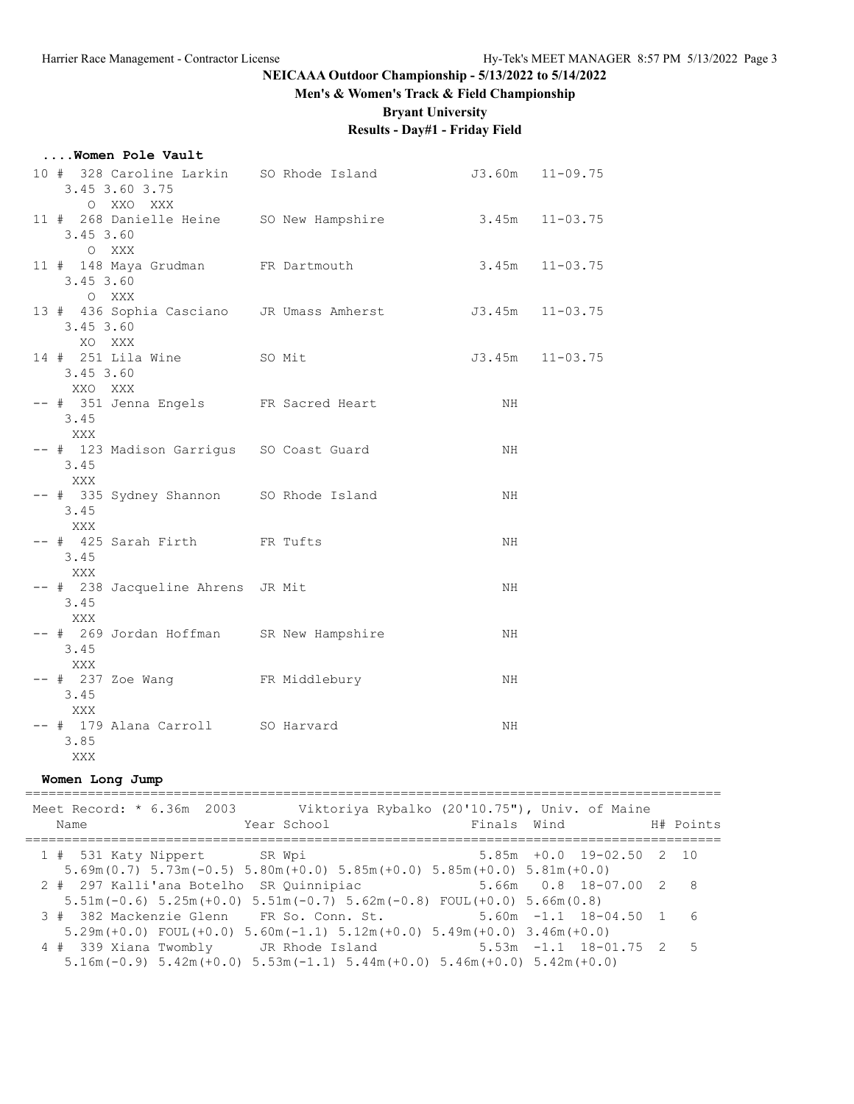# **Men's & Women's Track & Field Championship**

**Bryant University**

# **Results - Day#1 - Friday Field**

### **....Women Pole Vault**

| 10 # 328 Caroline Larkin SO Rhode Island 53.60m 11-09.75<br>3.45 3.60 3.75<br>O XXO XXX |    |                     |
|-----------------------------------------------------------------------------------------|----|---------------------|
| 11 # 268 Danielle Heine SO New Hampshire 3.45m 11-03.75<br>3.45 3.60<br>O XXX           |    |                     |
| 11 # 148 Maya Grudman FR Dartmouth<br>3.45 3.60<br>O XXX                                |    | $3.45m$ $11-03.75$  |
| 13 # 436 Sophia Casciano JR Umass Amherst J3.45m 11-03.75<br>3.45 3.60<br>XO XXX        |    |                     |
| 14 # 251 Lila Wine SO Mit<br>$3.45$ 3.60<br>XXO XXX                                     |    | $J3.45m$ $11-03.75$ |
| -- # 351 Jenna Engels FR Sacred Heart<br>3.45<br>XXX                                    | NH |                     |
| -- # 123 Madison Garrigus SO Coast Guard<br>3.45<br>XXX                                 | NH |                     |
| -- # 335 Sydney Shannon SO Rhode Island<br>3.45<br>XXX                                  | NH |                     |
| -- # 425 Sarah Firth FR Tufts<br>3.45<br>XXX                                            | NH |                     |
| -- # 238 Jacqueline Ahrens JR Mit<br>3.45<br>XXX                                        | NH |                     |
| -- # 269 Jordan Hoffman SR New Hampshire<br>3.45<br>XXX                                 | NH |                     |
| -- # 237 Zoe Wang FR Middlebury<br>3.45<br>XXX                                          | NH |                     |
| -- # 179 Alana Carroll SO Harvard<br>3.85<br>XXX                                        | NH |                     |

#### **Women Long Jump**

| Meet Record: * 6.36m 2003 Viktoriya Rybalko (20'10.75"), Univ. of Maine<br>Year School<br>Name                                                                   |  | Finals Wind                 | H# Points |
|------------------------------------------------------------------------------------------------------------------------------------------------------------------|--|-----------------------------|-----------|
| 1 # 531 Katy Nippert SR Wpi<br>$5.69$ m (0.7) $5.73$ m (-0.5) $5.80$ m (+0.0) $5.85$ m (+0.0) $5.85$ m (+0.0) $5.81$ m (+0.0)                                    |  | $5.85m + 0.0$ 19-02.50 2 10 |           |
| $5.66m$ 0.8 18-07.00 2 8<br>2 # 297 Kalli'ana Botelho<br>SR Ouinnipiac<br>$5.51m(-0.6)$ $5.25m(+0.0)$ $5.51m(-0.7)$ $5.62m(-0.8)$ FOUL $(+0.0)$ $5.66m(0.8)$     |  |                             |           |
| 3 # 382 Mackenzie Glenn FR So. Conn. St. 5.60m -1.1 18-04.50 1 6<br>$5.29$ m (+0.0) FOUL (+0.0) $5.60$ m (-1.1) $5.12$ m (+0.0) $5.49$ m (+0.0) $3.46$ m (+0.0)  |  |                             |           |
| 4 # 339 Xiana Twombly JR Rhode Island 5.53m -1.1 18-01.75 2 5<br>$5.16$ m (-0.9) $5.42$ m (+0.0) $5.53$ m (-1.1) $5.44$ m (+0.0) $5.46$ m (+0.0) $5.42$ m (+0.0) |  |                             |           |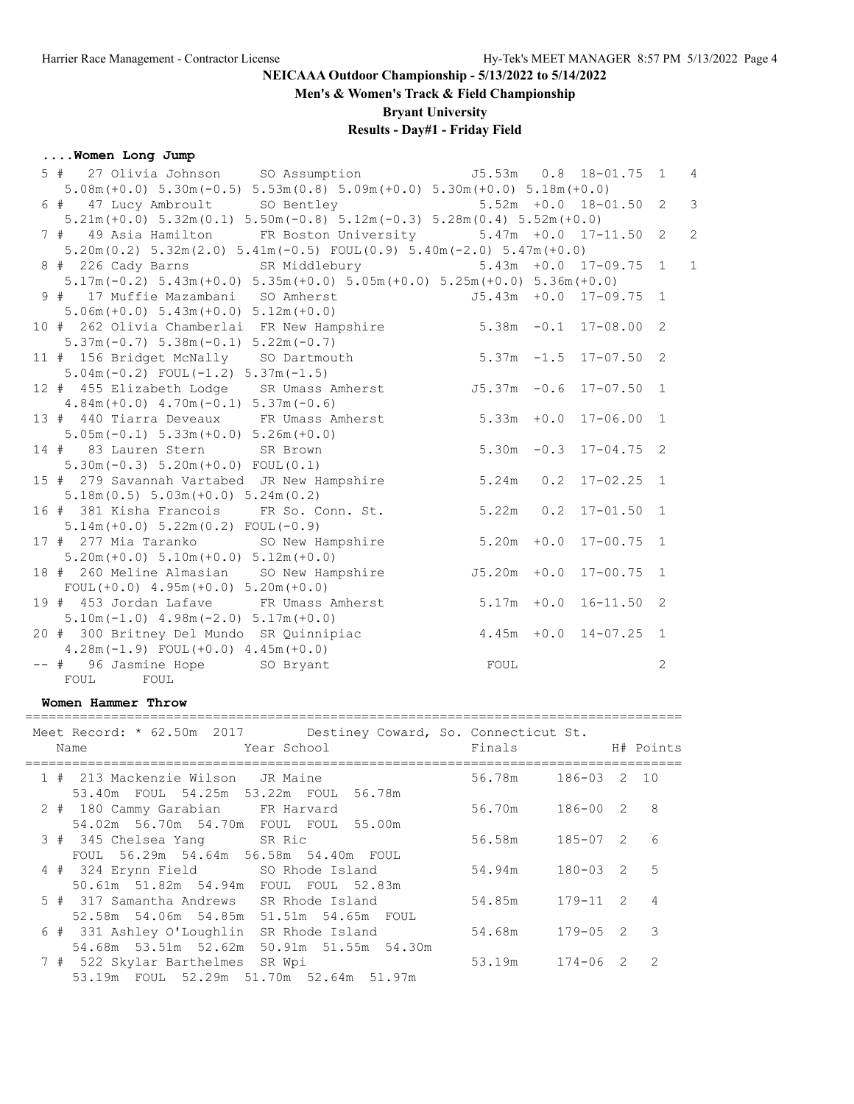**Men's & Women's Track & Field Championship**

**Bryant University**

# **Results - Day#1 - Friday Field**

### **....Women Long Jump**

| 27 Olivia Johnson SO Assumption 55.53m 0.8 18-01.75<br>5 #                                                                                           |                |                           | $\overline{1}$ | $\overline{4}$ |
|------------------------------------------------------------------------------------------------------------------------------------------------------|----------------|---------------------------|----------------|----------------|
| $5.08m (+0.0)$ $5.30m (-0.5)$ $5.53m (0.8)$ $5.09m (+0.0)$ $5.30m (+0.0)$ $5.18m (+0.0)$                                                             |                |                           |                |                |
| 6 # 47 Lucy Ambroult SO Bentley 5.52m +0.0 18-01.50 2                                                                                                |                |                           |                | $\overline{3}$ |
| $5.21m (+0.0)$ $5.32m (0.1)$ $5.50m (-0.8)$ $5.12m (-0.3)$ $5.28m (0.4)$ $5.52m (+0.0)$                                                              |                |                           |                |                |
| 7 # 49 Asia Hamilton FR Boston University 5.47m +0.0 17-11.50 2                                                                                      |                |                           |                | $\overline{c}$ |
| $5.20$ m $(0.2)$ $5.32$ m $(2.0)$ $5.41$ m $(-0.5)$ FOUL $(0.9)$ $5.40$ m $(-2.0)$ $5.47$ m $(+0.0)$                                                 |                |                           |                |                |
| 8 # 226 Cady Barns SR Middlebury 5.43m +0.0 17-09.75 1                                                                                               |                |                           |                | $\mathbf{1}$   |
| $5.17m(-0.2)$ $5.43m(+0.0)$ $5.35m(+0.0)$ $5.05m(+0.0)$ $5.25m(+0.0)$ $5.36m(+0.0)$                                                                  |                |                           |                |                |
| 9 # 17 Muffie Mazambani SO Amherst                                                                                                                   |                | $J5.43m + 0.0 17-09.75 1$ |                |                |
| $5.06m (+0.0) 5.43m (+0.0) 5.12m (+0.0)$                                                                                                             |                |                           |                |                |
| 10 # 262 Olivia Chamberlai FR New Hampshire 5.38m -0.1 17-08.00 2                                                                                    |                |                           |                |                |
| $5.37m(-0.7)$ $5.38m(-0.1)$ $5.22m(-0.7)$                                                                                                            |                |                           |                |                |
| 5.37m (-0.7) 5.38m (-0.1) 5.22m (-0.7)<br>11 # 156 Bridget McNally 80 Dartmouth 5.37m -1.5 17-07.50 2                                                |                |                           |                |                |
| $5.04m(-0.2)$ FOUL $(-1.2)$ $5.37m(-1.5)$                                                                                                            |                |                           |                |                |
| 12 # 455 Elizabeth Lodge SR Umass Amherst                                                                                                            |                | J5.37m -0.6 17-07.50 1    |                |                |
| $4.84m (+0.0)$ $4.70m (-0.1)$ $5.37m (-0.6)$                                                                                                         |                |                           |                |                |
| 13 # 440 Tiarra Deveaux FR Umass Amherst 5.33m +0.0 17-06.00 1                                                                                       |                |                           |                |                |
| $5.05m(-0.1)$ $5.33m(+0.0)$ $5.26m(+0.0)$                                                                                                            |                |                           |                |                |
| 14 # 83 Lauren Stern SR Brown                                                                                                                        |                | $5.30m -0.3$ 17-04.75 2   |                |                |
| $5.30m(-0.3) 5.20m(+0.0) F0UL(0.1)$                                                                                                                  |                |                           |                |                |
| 15 # 279 Savannah Vartabed JR New Hampshire 5.24m                                                                                                    |                | $0.2$ 17-02.25 1          |                |                |
| $5.18m(0.5) 5.03m(+0.0) 5.24m(0.2)$                                                                                                                  |                |                           |                |                |
| 16 # 381 Kisha Francois FR So. Conn. St. 5.22m                                                                                                       |                | $0.2$ 17-01.50 1          |                |                |
| $5.14m (+0.0) 5.22m (0.2) F0UL (-0.9)$                                                                                                               |                |                           |                |                |
| 17 # 277 Mia Taranko SO New Hampshire 5.20m +0.0 17-00.75 1                                                                                          |                |                           |                |                |
| $5.20m (+0.0) 5.10m (+0.0) 5.12m (+0.0)$                                                                                                             |                |                           |                |                |
| 18 # 260 Meline Almasian SO New Hampshire                                                                                                            | $J5.20m + 0.0$ | $17 - 00.75$ 1            |                |                |
| FOUL $(+0.0)$ 4.95m $(+0.0)$ 5.20m $(+0.0)$                                                                                                          |                |                           |                |                |
| 19 # 453 Jordan Lafave FR Umass Amherst 5.17m +0.0 16-11.50 2                                                                                        |                |                           |                |                |
| $5.10m(-1.0)$ 4.98m $(-2.0)$ 5.17m $(+0.0)$<br>5.10m(-1.0) 4.98m(-2.0) 5.1/m(+0.0)<br>20 # 300 Britney Del Mundo SR Quinnipiac 4.45m +0.0 14-07.25 1 |                |                           |                |                |
|                                                                                                                                                      |                |                           |                |                |
| FOUL<br>$4.28m(-1.9)$ FOUL $(+0.0)$ $4.45m(+0.0)$                                                                                                    |                |                           |                |                |
| -- # 96 Jasmine Hope SO Bryant                                                                                                                       |                |                           | 2              |                |
| FOUL FOUL                                                                                                                                            |                |                           |                |                |

#### **Women Hammer Throw**

==================================================================================== Meet Record: \* 62.50m 2017 Destiney Coward, So. Connecticut St.

|  | Meet Record: ^ 02.30m Z017 Destiney Coward, SO. Connecticut St.<br>Year School<br>Name | Finals             |                | H# Points                |
|--|----------------------------------------------------------------------------------------|--------------------|----------------|--------------------------|
|  | 1 # 213 Mackenzie Wilson JR Maine                                                      | 56.78m 186-03 2 10 |                |                          |
|  | 53.40m FOUL 54.25m 53.22m FOUL 56.78m<br>2 # 180 Cammy Garabian FR Harvard             | 56.70m             | 186-00 2 8     |                          |
|  | 54.02m 56.70m 54.70m FOUL FOUL 55.00m<br>3 # 345 Chelsea Yang SR Ric                   | 56.58m             | 185-07 2 6     |                          |
|  | FOUL 56.29m 54.64m 56.58m 54.40m FOUL<br>4 # 324 Erynn Field SO Rhode Island           | 54.94m             | $180 - 03$ 2 5 |                          |
|  | 50.61m 51.82m 54.94m FOUL FOUL 52.83m                                                  |                    |                |                          |
|  | 5 # 317 Samantha Andrews SR Rhode Island<br>52.58m 54.06m 54.85m 51.51m 54.65m FOUL    | 54.85m             | 179-11 2 4     |                          |
|  | 6 # 331 Ashley O'Loughlin SR Rhode Island<br>54.68m 53.51m 52.62m 50.91m 51.55m 54.30m | 54.68m             | $179 - 05$ 2   | $\overline{\phantom{a}}$ |
|  | 7 # 522 Skylar Barthelmes SR Wpi                                                       | 53.19m             | 174-06 2 2     |                          |
|  | 53.19m FOUL 52.29m 51.70m 52.64m 51.97m                                                |                    |                |                          |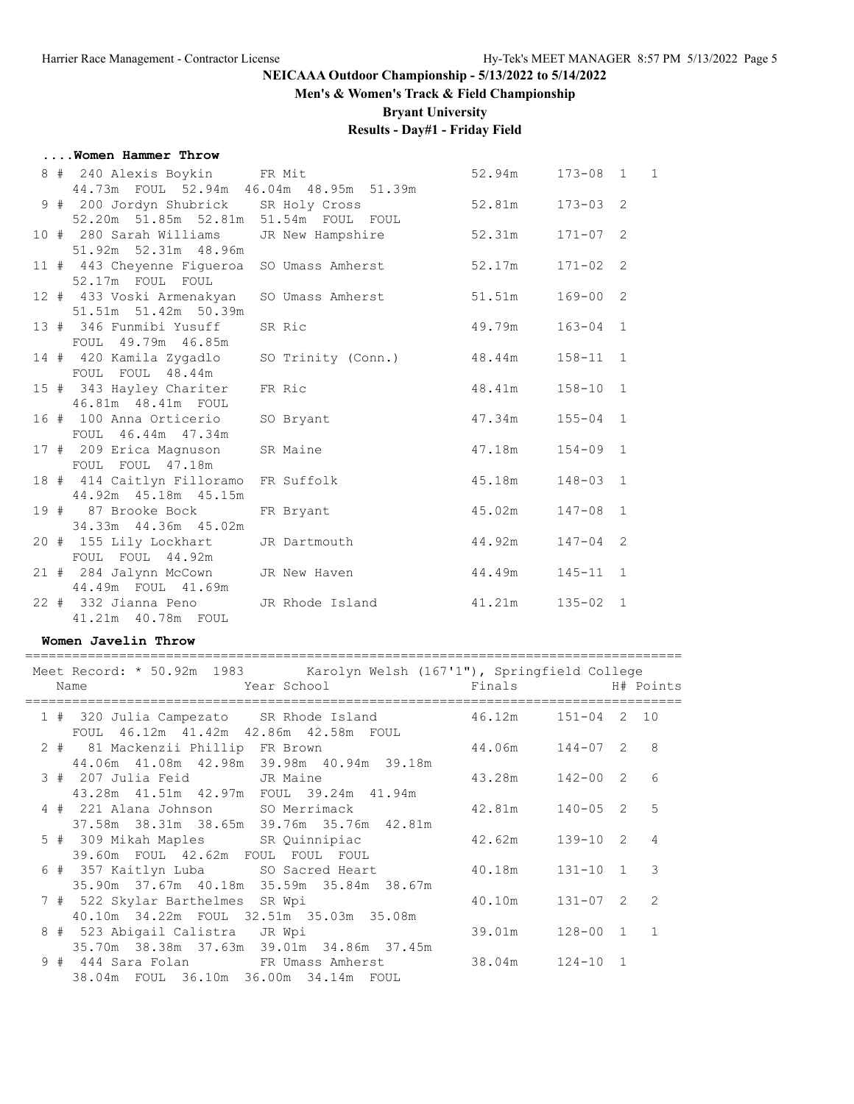## **Men's & Women's Track & Field Championship**

**Bryant University**

# **Results - Day#1 - Friday Field**

#### **....Women Hammer Throw**

|  | 8 # 240 Alexis Boykin FR Mit                                    |                                    | 52.94m  173-08  1  1 |              |  |
|--|-----------------------------------------------------------------|------------------------------------|----------------------|--------------|--|
|  | 44.73m FOUL 52.94m 46.04m 48.95m 51.39m                         |                                    |                      |              |  |
|  | 9 # 200 Jordyn Shubrick SR Holy Cross                           |                                    | 52.81m  173-03  2    |              |  |
|  | 52.20m 51.85m 52.81m 51.54m FOUL FOUL                           |                                    |                      |              |  |
|  | 10 # 280 Sarah Williams                                         | JR New Hampshire                   | 52.31m  171-07  2    |              |  |
|  | 51.92m 52.31m 48.96m                                            |                                    |                      |              |  |
|  | 11 # 443 Cheyenne Fiqueroa                                      | SO Umass Amherst 52.17m            |                      | $171 - 02$ 2 |  |
|  | 52.17m FOUL FOUL                                                |                                    |                      |              |  |
|  | 12 # 433 Voski Armenakyan                                       | SO Umass Amherst 51.51m 169-00 2   |                      |              |  |
|  | 51.51m 51.42m 50.39m                                            |                                    |                      |              |  |
|  | 13 # 346 Funmibi Yusuff                                         | SR Ric                             | 49.79m               | $163 - 04$ 1 |  |
|  | FOUL 49.79m 46.85m                                              |                                    |                      |              |  |
|  | 14 # 420 Kamila Zygadlo                                         | SO Trinity (Conn.) 48.44m 158-11 1 |                      |              |  |
|  | FOUL FOUL 48.44m                                                |                                    |                      |              |  |
|  | 15 # 343 Hayley Chariter                                        | 48.41m<br>FR Ric                   |                      | $158 - 10$ 1 |  |
|  | 46.81m  48.41m  FOUL                                            | $47.34m$ $155-04$ 1                |                      |              |  |
|  | 16 # 100 Anna Orticerio                                         | SO Bryant                          |                      |              |  |
|  | FOUL 46.44m 47.34m                                              |                                    |                      |              |  |
|  | 17 # 209 Erica Magnuson                                         | SR Maine                           | 47.18m               | $154 - 09$ 1 |  |
|  | FOUL FOUL 47.18m                                                | 45.18m                             |                      |              |  |
|  | 18 # 414 Caitlyn Filloramo FR Suffolk<br>44.92m  45.18m  45.15m |                                    |                      | $148 - 03$ 1 |  |
|  | 19 # 87 Brooke Bock                                             | FR Bryant                          | 45.02m               | $147 - 08$ 1 |  |
|  | 34.33m 44.36m 45.02m                                            |                                    |                      |              |  |
|  | 20 # 155 Lily Lockhart                                          | 44.92m<br>JR Dartmouth             |                      | $147 - 04$ 2 |  |
|  | FOUL FOUL 44.92m                                                |                                    |                      |              |  |
|  | 21 # 284 Jalynn McCown JR New Haven                             | 44.49m 145-11 1                    |                      |              |  |
|  | 44.49m FOUL 41.69m                                              |                                    |                      |              |  |
|  | 22 # 332 Jianna Peno JR Rhode Island                            |                                    | 41.21m 135-02 1      |              |  |
|  | 41.21m  40.78m  FOUL                                            |                                    |                      |              |  |
|  |                                                                 |                                    |                      |              |  |

#### **Women Javelin Throw**

| Meet Record: * 50.92m 1983 Karolyn Welsh (167'1"), Springfield College<br>Year School <a> Finals <a> Finals <a> H#<br/> Points<br/>Name</a></a></a> |  |                      |                |                |
|-----------------------------------------------------------------------------------------------------------------------------------------------------|--|----------------------|----------------|----------------|
|                                                                                                                                                     |  |                      |                |                |
| 1 # 320 Julia Campezato SR Rhode Island 46.12m 151-04 2 10                                                                                          |  |                      |                |                |
| FOUL 46.12m 41.42m 42.86m 42.58m FOUL<br>2 # 81 Mackenzii Phillip FR Brown 44.06m 144-07 2 8<br>44.06m 41.08m 42.98m 39.98m 40.94m 39.18m           |  |                      |                |                |
| 3 # 207 Julia Feid JR Maine<br>43.28m  41.51m  42.97m  FOUL  39.24m  41.94m                                                                         |  | $43.28m$ $142-00$ 2  |                | 6              |
| 4 # 221 Alana Johnson SO Merrimack 42.81m 140-05 2 5                                                                                                |  |                      |                |                |
| 37.58m 38.31m 38.65m 39.76m 35.76m 42.81m<br>5 # 309 Mikah Maples SR Quinnipiac 42.62m 139-10 2<br>39.60m FOUL 42.62m FOUL FOUL FOUL                |  |                      |                | $\overline{4}$ |
| 6 # 357 Kaitlyn Luba     SO Sacred Heart        40.18m    131-10 1   3<br>35.90m 37.67m 40.18m 35.59m 35.84m 38.67m                                 |  |                      |                |                |
| 7 # 522 Skylar Barthelmes SR Wpi<br>40.10m 34.22m FOUL 32.51m 35.03m 35.08m                                                                         |  | 40.10m               | $131 - 07$ 2 2 |                |
| 8 # 523 Abigail Calistra JR Wpi<br>35.70m 38.38m 37.63m 39.01m 34.86m 37.45m                                                                        |  | 39.01m  128-00  1  1 |                |                |
| 9 # 444 Sara Folan FR Umass Amherst 38.04m 124-10 1<br>38.04m FOUL 36.10m 36.00m 34.14m FOUL                                                        |  |                      |                |                |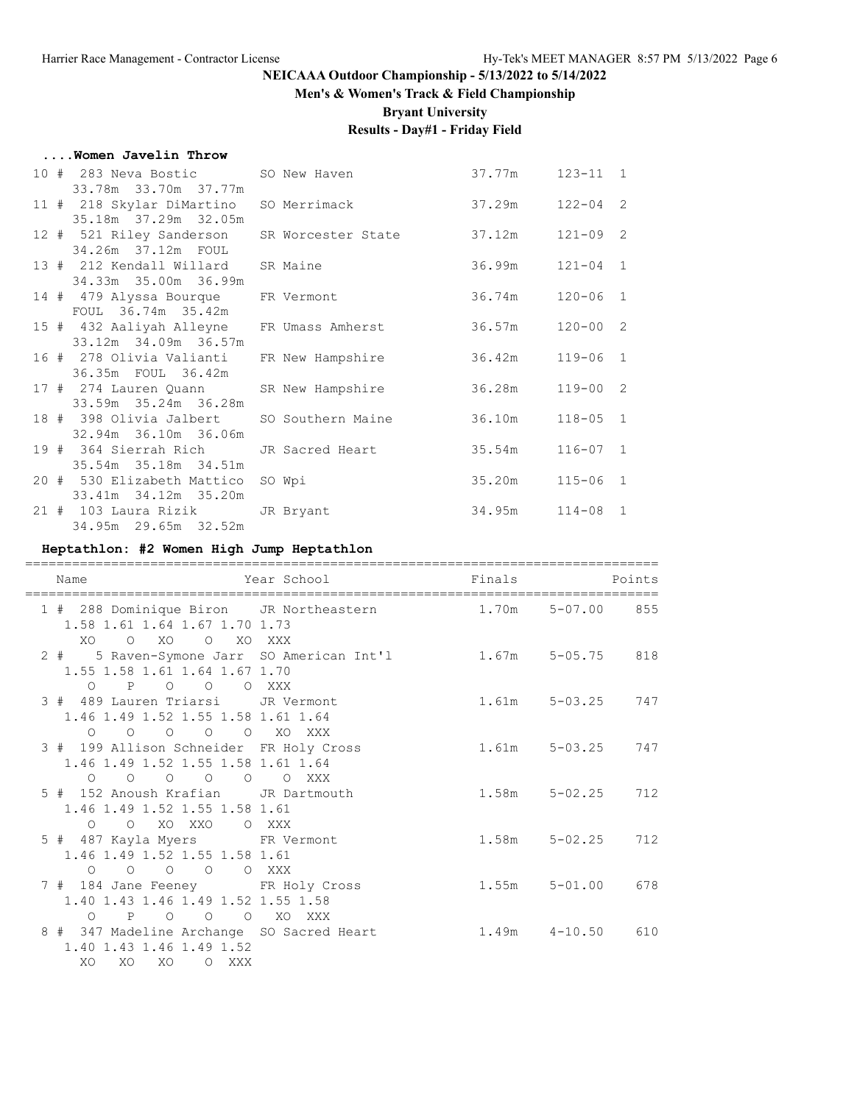## **Men's & Women's Track & Field Championship**

**Bryant University**

# **Results - Day#1 - Friday Field**

#### **....Women Javelin Throw**

| 10 # 283 Neva Bostic SO New Haven<br>33.78m 33.70m 37.77m                      |                                             | 37.77m          | $123 - 11$ 1 |  |
|--------------------------------------------------------------------------------|---------------------------------------------|-----------------|--------------|--|
| 11 # 218 Skylar DiMartino SO Merrimack<br>35.18m 37.29m 32.05m                 |                                             | 37.29m 122-04 2 |              |  |
| 34.26m 37.12m FOUL                                                             | 12 # 521 Riley Sanderson SR Worcester State | 37.12m          | $121 - 09$ 2 |  |
| 13 # 212 Kendall Willard SR Maine<br>34.33m 35.00m 36.99m                      |                                             | 36.99m          | $121 - 04$ 1 |  |
| 14 # 479 Alyssa Bourque FR Vermont<br>FOUL 36.74m 35.42m                       |                                             | 36.74m 120-06 1 |              |  |
| 15 # 432 Aaliyah Alleyne FR Umass Amherst<br>33.12m 34.09m 36.57m              |                                             | 36.57m          | $120 - 00$ 2 |  |
| 36.35m FOUL 36.42m                                                             | 16 # 278 Olivia Valianti FR New Hampshire   | 36.42m          | $119 - 06$ 1 |  |
| 17 # 274 Lauren Quann SR New Hampshire<br>33.59m 35.24m 36.28m                 |                                             | 36.28m 119-00 2 |              |  |
| 18 # 398 Olivia Jalbert                                                        | SO Southern Maine                           | 36.10m          | $118 - 05$ 1 |  |
| 32.94m 36.10m 36.06m<br>19 # 364 Sierrah Rich JR Sacred Heart                  |                                             | 35.54m          | $116 - 07$ 1 |  |
| 35.54m 35.18m 34.51m<br>20 # 530 Elizabeth Mattico                             | SO Wpi                                      | 35.20m          | $115 - 06$ 1 |  |
| 33.41m 34.12m 35.20m<br>21 # 103 Laura Rizik JR Bryant<br>34.95m 29.65m 32.52m |                                             | 34.95m 114-08 1 |              |  |
|                                                                                |                                             |                 |              |  |

## **Heptathlon: #2 Women High Jump Heptathlon**

| Name                                                                                                           | Year School | Finals | Points                   |
|----------------------------------------------------------------------------------------------------------------|-------------|--------|--------------------------|
| 1 # 288 Dominique Biron JR Northeastern 1.70m 5-07.00 855<br>1.58 1.61 1.64 1.67 1.70 1.73<br>XO O XO O XO XXX |             |        |                          |
| 2 # 5 Raven-Symone Jarr SO American Int'l 1.67m 5-05.75 818<br>1.55 1.58 1.61 1.64 1.67 1.70<br>O P O O O XXX  |             |        |                          |
| 3 # 489 Lauren Triarsi JR Vermont<br>1.46 1.49 1.52 1.55 1.58 1.61 1.64                                        |             |        | $1.61m$ $5-03.25$ $747$  |
| 0 0 0 0 0 XO XXX<br>3 # 199 Allison Schneider FR Holy Cross<br>1.46 1.49 1.52 1.55 1.58 1.61 1.64              |             |        | 1.61m 5-03.25 747        |
| $0 \t 0 \t 0 \t 0 \t 0 \t 0 \t 0$<br>5 # 152 Anoush Krafian JR Dartmouth<br>1.46 1.49 1.52 1.55 1.58 1.61      |             |        | 1.58m 5-02.25 712        |
| O O XO XXO O XXX<br>5 # 487 Kayla Myers FR Vermont<br>1.46 1.49 1.52 1.55 1.58 1.61                            |             |        | $1.58m$ $5-02.25$<br>712 |
| $O$ $O$ $O$ $O$ $O$ $XXX$<br>7 # 184 Jane Feeney FR Holy Cross<br>1.40 1.43 1.46 1.49 1.52 1.55 1.58           |             |        | 1.55m 5-01.00 678        |
| O P O O O XO XXX<br>8 # 347 Madeline Archange SO Sacred Heart<br>1.40 1.43 1.46 1.49 1.52<br>XO XO<br>XO OXXX  |             |        | $1.49m$ $4-10.50$ 610    |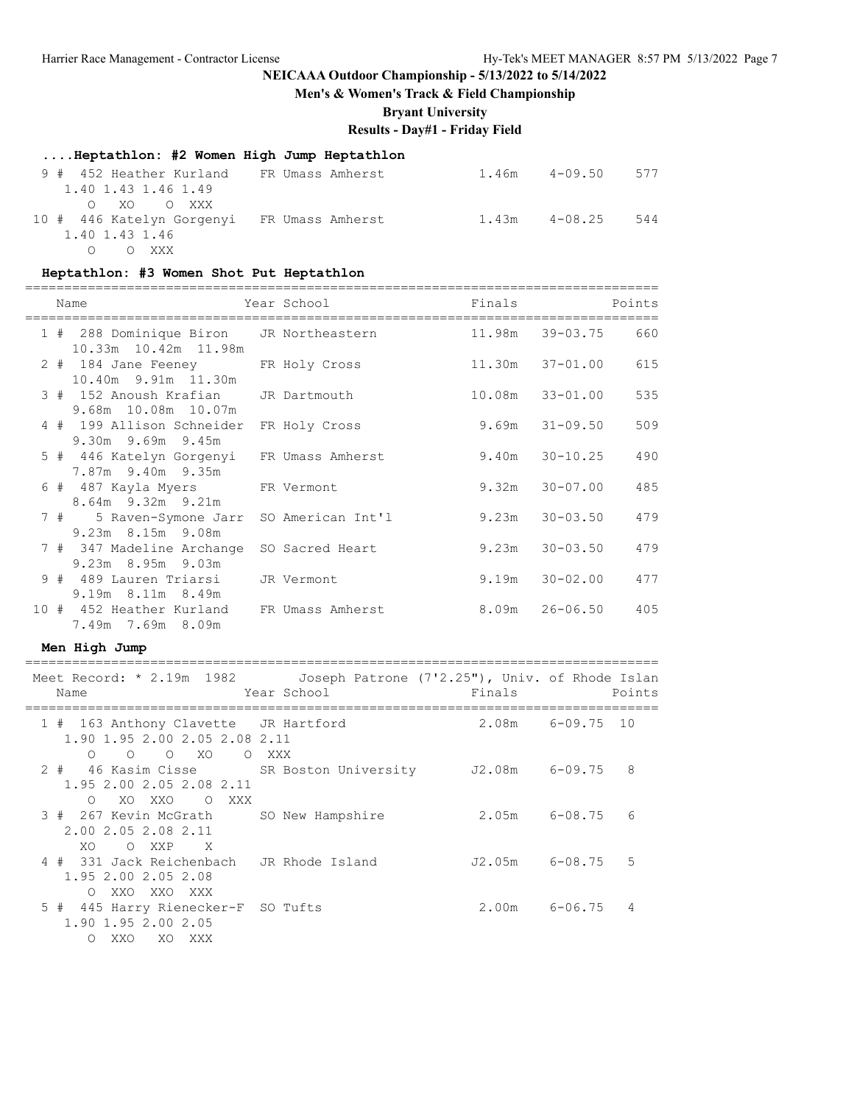**Men's & Women's Track & Field Championship**

**Bryant University**

## **Results - Day#1 - Friday Field**

|  | Heptathlon: #2 Women High Jump Heptathlon |  |                  |                   |     |  |
|--|-------------------------------------------|--|------------------|-------------------|-----|--|
|  | 9 # 452 Heather Kurland FR Umass Amherst  |  |                  | $1.46m$ $4-09.50$ | 577 |  |
|  | 1.40 1.43 1.46 1.49                       |  |                  |                   |     |  |
|  | OXOOXXX                                   |  |                  |                   |     |  |
|  | 10 # 446 Katelyn Gorgenyi                 |  | FR Umass Amherst | $1.43m$ $4-08.25$ | 544 |  |
|  | 1.40 1.43 1.46                            |  |                  |                   |     |  |

O O XXX

## **Heptathlon: #3 Women Shot Put Heptathlon**

|  | Name                                                            | Year School       | Finals |                     | Points |
|--|-----------------------------------------------------------------|-------------------|--------|---------------------|--------|
|  | 1 # 288 Dominique Biron JR Northeastern<br>10.33m 10.42m 11.98m |                   |        | 11.98m 39-03.75     | 660    |
|  | 2 # 184 Jane Feeney FR Holy Cross<br>10.40m 9.91m 11.30m        |                   |        | $11.30m$ $37-01.00$ | 615    |
|  | 3 # 152 Anoush Krafian JR Dartmouth<br>9.68m 10.08m 10.07m      |                   |        | $10.08m$ $33-01.00$ | 535    |
|  | 4 # 199 Allison Schneider<br>$9.30m$ $9.69m$ $9.45m$            | FR Holy Cross     |        | $9.69m$ $31-09.50$  | 509    |
|  | 5 # 446 Katelyn Gorgenyi FR Umass Amherst<br>7.87m 9.40m 9.35m  |                   | 9.40m  | $30 - 10.25$        | 490    |
|  | 6 # 487 Kayla Myers FR Vermont<br>8.64m 9.32m 9.21m             |                   | 9.32m  | 30-07.00            | 485    |
|  | 7 # 5 Raven-Symone Jarr<br>9.23m 8.15m 9.08m                    | SO American Int'l |        | $9.23m$ $30-03.50$  | 479    |
|  | 7 # 347 Madeline Archange<br>9.23m 8.95m 9.03m                  | SO Sacred Heart   |        | $9.23m$ $30-03.50$  | 479    |
|  | 9 # 489 Lauren Triarsi JR Vermont<br>$9.19m$ 8.11m 8.49m        |                   | 9.19m  | $30 - 02.00$        | 477    |
|  | 10 # 452 Heather Kurland<br>7.49m 7.69m 8.09m                   | FR Umass Amherst  |        |                     | 405    |

#### **Men High Jump**

| Meet Record: * 2.19m 1982<br>Name                                                                             | Joseph Patrone (7'2.25"), Univ. of Rhode Islan<br>Year School | Finals         | Points                            |  |
|---------------------------------------------------------------------------------------------------------------|---------------------------------------------------------------|----------------|-----------------------------------|--|
| 1 # 163 Anthony Clavette JR Hartford<br>1.90 1.95 2.00 2.05 2.08 2.11<br>O O XO O XXX<br>$\circ$              |                                                               |                | 2.08m 6-09.75 10                  |  |
| 2 # 46 Kasim Cisse SR Boston University 52.08m 6-09.75 8<br>1.95 2.00 2.05 2.08 2.11<br>XOXXO OXXX<br>$\circ$ |                                                               |                |                                   |  |
| 3 # 267 Kevin McGrath SO New Hampshire<br>2.00 2.05 2.08 2.11<br>XO.<br>O XXP X                               |                                                               |                | 6<br>$2.05m$ 6-08.75              |  |
| 4 # 331 Jack Reichenbach JR Rhode Island<br>1.95 2.00 2.05 2.08<br>O XXO XXO XXX                              |                                                               | J2.05m 6-08.75 | 5                                 |  |
| 5 # 445 Harry Rienecker-F SO Tufts<br>1.90 1.95 2.00 2.05<br>XO XXX<br>XXO<br>$\Omega$                        |                                                               |                | $2.00m$ 6-06.75<br>$\overline{4}$ |  |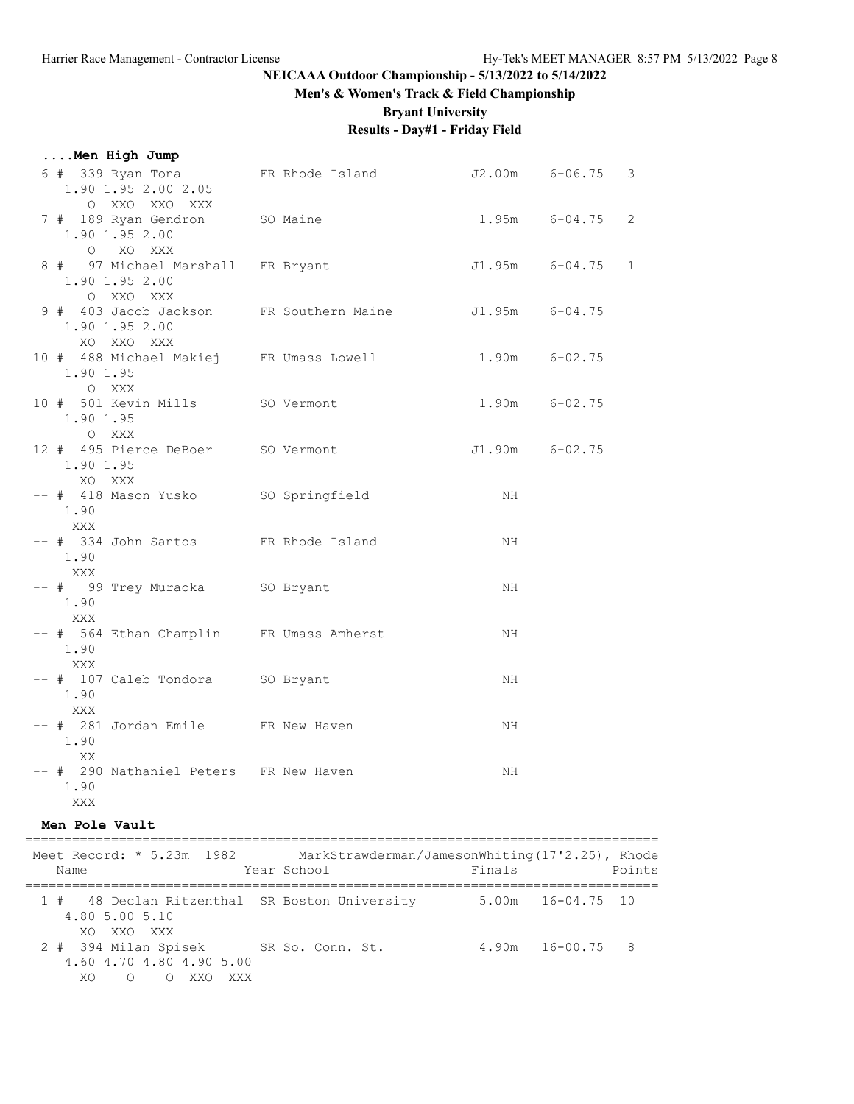#### **Men's & Women's Track & Field Championship**

**Bryant University**

# **Results - Day#1 - Friday Field**

| Men High Jump |  |
|---------------|--|
|---------------|--|

| 6 # 339 Ryan Tona 6-06.75 3<br>1.90 1.95 2.00 2.05                                     |                     |                   |  |
|----------------------------------------------------------------------------------------|---------------------|-------------------|--|
| O XXO XXO XXX<br>7 # 189 Ryan Gendron SO Maine<br>1.90 1.95 2.00<br>O XO XXX           | $1.95m$ $6-04.75$ 2 |                   |  |
| 8 # 97 Michael Marshall FR Bryant<br>1.90 1.95 2.00<br>O XXO XXX                       |                     | J1.95m 6-04.75 1  |  |
| 9 # 403 Jacob Jackson FR Southern Maine 51.95m 6-04.75<br>1.90 1.95 2.00<br>XO XXO XXX |                     |                   |  |
| 10 # 488 Michael Makiej FR Umass Lowell 1.90m 6-02.75<br>1.90 1.95<br>O XXX            |                     |                   |  |
| 10 # 501 Kevin Mills SO Vermont<br>1.90 1.95<br>O XXX                                  |                     | $1.90m$ $6-02.75$ |  |
| 12 # 495 Pierce DeBoer SO Vermont<br>1.90 1.95<br>XO XXX                               |                     | J1.90m 6-02.75    |  |
| -- # 418 Mason Yusko SO Springfield<br>1.90<br>XXX                                     | ΝH                  |                   |  |
| -- # 334 John Santos FR Rhode Island<br>1.90<br>XXX                                    | NH                  |                   |  |
| -- # 99 Trey Muraoka SO Bryant<br>1.90<br>XXX                                          | NH                  |                   |  |
| -- # 564 Ethan Champlin FR Umass Amherst<br>1.90<br>XXX                                | ΝH                  |                   |  |
| -- # 107 Caleb Tondora SO Bryant<br>1.90<br>XXX                                        | NH                  |                   |  |
| -- # 281 Jordan Emile FR New Haven<br>1.90<br>XX                                       | ΝH                  |                   |  |
| -- # 290 Nathaniel Peters FR New Haven<br>1.90<br>XXX                                  | ΝH                  |                   |  |

#### **Men Pole Vault**

================================================================================= Meet Record: \* 5.23m 1982 MarkStrawderman/JamesonWhiting(17'2.25), Rhode Name Year School Finals Points ================================================================================= 1 # 48 Declan Ritzenthal SR Boston University 5.00m 16-04.75 10 4.80 5.00 5.10 XO XXO XXX 2 # 394 Milan Spisek SR So. Conn. St. 4.90m 16-00.75 8 4.60 4.70 4.80 4.90 5.00 XO O O XXO XXX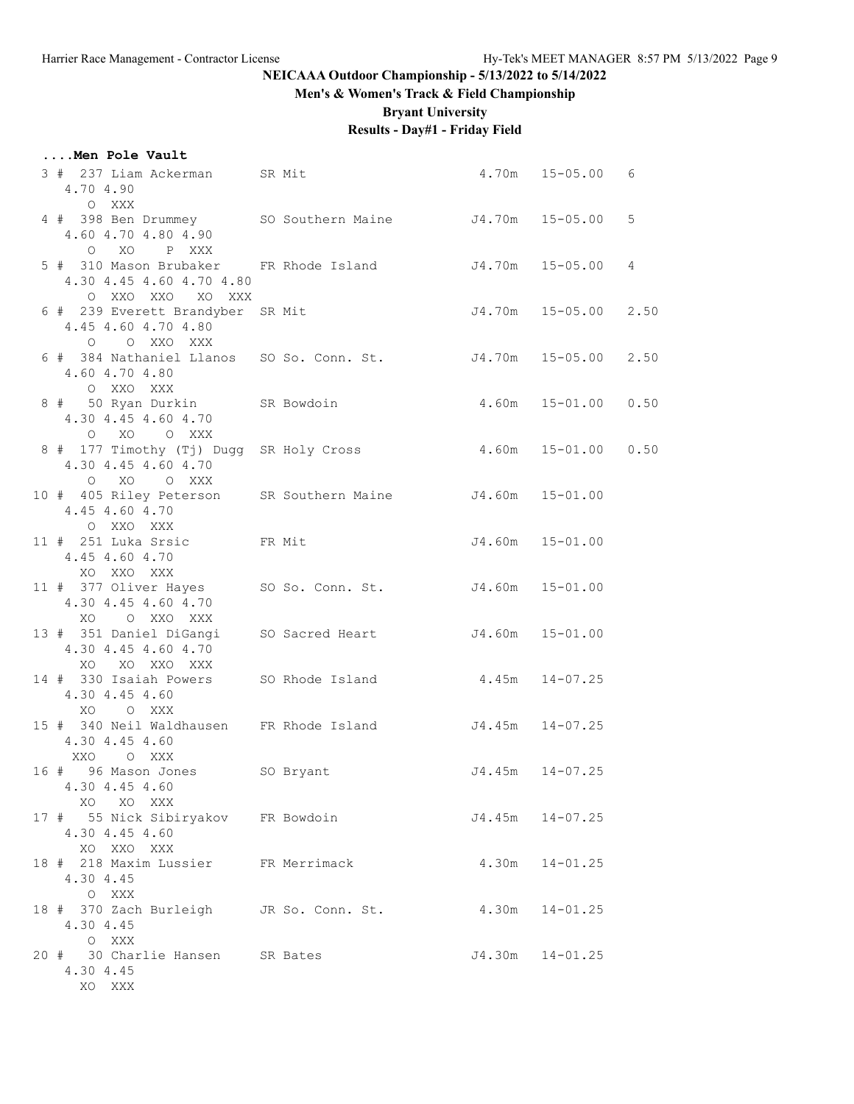# **Men's & Women's Track & Field Championship**

**Bryant University**

# **Results - Day#1 - Friday Field**

### **....Men Pole Vault**

| 3 # 237 Liam Ackerman SR Mit<br>4.70 4.90<br>O XXX                                                     |  |                     | $4.70m$ $15-05.00$ 6 |      |
|--------------------------------------------------------------------------------------------------------|--|---------------------|----------------------|------|
| 4 # 398 Ben Drummey SO Southern Maine J4.70m 15-05.00<br>4.60 4.70 4.80 4.90<br>O XO P XXX             |  |                     |                      | 5    |
| 5 # 310 Mason Brubaker FR Rhode Island J4.70m 15-05.00<br>4.30 4.45 4.60 4.70 4.80<br>O XXO XXO XO XXX |  |                     |                      | 4    |
| 6 # 239 Everett Brandyber SR Mit<br>4.45 4.60 4.70 4.80<br>O O XXO XXX                                 |  |                     | J4.70m 15-05.00 2.50 |      |
| 6 # 384 Nathaniel Llanos SO So. Conn. St. 50 34.70m 15-05.00 2.50<br>4.60 4.70 4.80<br>O XXO XXX       |  |                     |                      |      |
| 8 # 50 Ryan Durkin SR Bowdoin<br>4.30 4.45 4.60 4.70<br>O XO O XXX                                     |  |                     | $4.60m$ $15-01.00$   | 0.50 |
| 8 # 177 Timothy (Tj) Dugg SR Holy Cross<br>4.30 4.45 4.60 4.70<br>O XO O XXX                           |  |                     | 4.60m 15-01.00 0.50  |      |
| 10 # 405 Riley Peterson SR Southern Maine J4.60m 15-01.00<br>4.45 4.60 4.70<br>O XXO XXX               |  |                     |                      |      |
| 11 # 251 Luka Srsic FR Mit<br>4.45 4.60 4.70<br>XO XXO XXX                                             |  |                     | J4.60m 15-01.00      |      |
| 11 # 377 Oliver Hayes SO So. Conn. St. J4.60m 15-01.00<br>4.30 4.45 4.60 4.70<br>XO O XXO XXX          |  |                     |                      |      |
| 13 # 351 Daniel DiGangi SO Sacred Heart J4.60m 15-01.00<br>4.30 4.45 4.60 4.70<br>XO XO XXO XXX        |  |                     |                      |      |
| 14 # 330 Isaiah Powers SO Rhode Island 4.45m 14-07.25<br>4.30 4.45 4.60<br>XO O XXX                    |  |                     |                      |      |
| 15 # 340 Neil Waldhausen FR Rhode Island J4.45m 14-07.25<br>4.30 4.45 4.60<br>XXO OXXX                 |  |                     |                      |      |
| 16 # 96 Mason Jones SO Bryant<br>4.30 4.45 4.60<br>XO XO XXX                                           |  | $J4.45m$ $14-07.25$ |                      |      |
| 17 # 55 Nick Sibiryakov FR Bowdoin<br>4.30 4.45 4.60<br>XO XXO XXX                                     |  |                     | $J4.45m$ $14-07.25$  |      |
| 18 # 218 Maxim Lussier FR Merrimack<br>4.30 4.45<br>O XXX                                              |  |                     | $4.30m$ $14-01.25$   |      |
| 18 # 370 Zach Burleigh JR So. Conn. St.<br>4.30 4.45<br>O XXX                                          |  |                     | $4.30m$ $14-01.25$   |      |
| 20 # 30 Charlie Hansen SR Bates<br>4.30 4.45<br>XO XXX                                                 |  |                     | J4.30m  14-01.25     |      |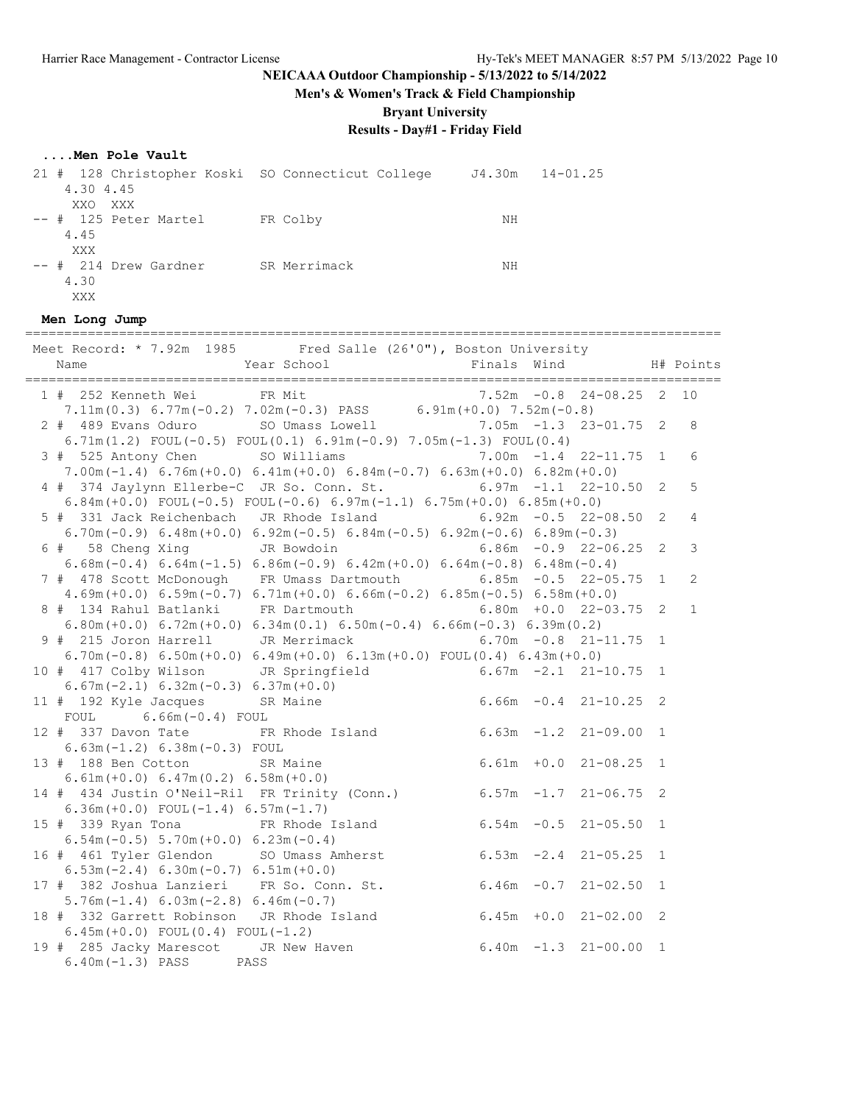**Men's & Women's Track & Field Championship**

**Bryant University**

# **Results - Day#1 - Friday Field**

### **....Men Pole Vault**

| 21 # 128 Christopher Koski SO Connecticut College |              | $J4.30m$ $14-01.25$ |  |
|---------------------------------------------------|--------------|---------------------|--|
| 4.30 4.45                                         |              |                     |  |
| XXO XXX                                           |              |                     |  |
| -- # 125 Peter Martel                             | FR Colby     | NΗ                  |  |
| 4.45                                              |              |                     |  |
| XXX                                               |              |                     |  |
| $--$ # 214 Drew Gardner                           | SR Merrimack | NΗ                  |  |
| 4.30                                              |              |                     |  |
| XXX                                               |              |                     |  |

#### **Men Long Jump**

| Meet Record: * 7.92m 1985 Fred Salle (26'0"), Boston University                                                                                                                            |              |                |
|--------------------------------------------------------------------------------------------------------------------------------------------------------------------------------------------|--------------|----------------|
| Year School<br>Finals Wind<br>Name                                                                                                                                                         |              | H# Points      |
| FR Mit<br>$7.52m -0.8$ 24-08.25 2<br>1 # 252 Kenneth Wei                                                                                                                                   |              | 10             |
| 7.11m(0.3) 6.77m(-0.2) 7.02m(-0.3) PASS 6.91m(+0.0) 7.52m(-0.8)                                                                                                                            |              |                |
| 2 # 489 Evans Oduro SO Umass Lowell 3.05m -1.3 23-01.75 2                                                                                                                                  |              | 8              |
| 6.71m(1.2) FOUL(-0.5) FOUL(0.1) 6.91m(-0.9) 7.05m(-1.3) FOUL(0.4)                                                                                                                          |              |                |
| 3 # 525 Antony Chen SO Williams 7.00m -1.4 22-11.75                                                                                                                                        | 1            | 6              |
| 7.00m (-1.4) $6.76m (+0.0)$ $6.41m (+0.0)$ $6.84m (-0.7)$ $6.63m (+0.0)$ $6.82m (+0.0)$                                                                                                    |              |                |
| 4 # 374 Jaylynn Ellerbe-C JR So. Conn. St.<br>$6.97m -1.1 22-10.50$                                                                                                                        | 2            | 5              |
| 6.84m (+0.0) FOUL (-0.5) FOUL (-0.6) 6.97m (-1.1) 6.75m (+0.0) 6.85m (+0.0)                                                                                                                |              |                |
| 5 # 331 Jack Reichenbach JR Rhode Island 6.92m -0.5 22-08.50                                                                                                                               | 2            | $\overline{4}$ |
| 6.70m (-0.9) 6.48m (+0.0) 6.92m (-0.5) 6.84m (-0.5) 6.92m (-0.6) 6.89m (-0.3)                                                                                                              |              |                |
| 6 # 58 Cheng Xing JR Bowdoin<br>$6.86m - 0.9$ 22-06.25                                                                                                                                     | 2            | 3              |
| $6.68$ m $(-0.4)$ $6.64$ m $(-1.5)$ $6.86$ m $(-0.9)$ $6.42$ m $(+0.0)$ $6.64$ m $(-0.8)$ $6.48$ m $(-0.4)$                                                                                |              |                |
|                                                                                                                                                                                            | $\mathbf{1}$ | $\overline{2}$ |
| 7 # 478 Scott McDonough FR Umass Dartmouth 6.85m -0.5 22-05.75                                                                                                                             |              |                |
| $4.69m (+0.0)$ $6.59m (-0.7)$ $6.71m (+0.0)$ $6.66m (-0.2)$ $6.85m (-0.5)$ $6.58m (+0.0)$                                                                                                  |              |                |
| 8 # 134 Rahul Batlanki FR Dartmouth<br>$6.80m + 0.0$ 22-03.75                                                                                                                              | 2            | $\mathbf{1}$   |
| $6.80m (+0.0)$ $6.72m (+0.0)$ $6.34m (0.1)$ $6.50m (-0.4)$ $6.66m (-0.3)$ $6.39m (0.2)$                                                                                                    |              |                |
| 9 # 215 Joron Harrell JR Merrimack<br>$6.70m - 0.8$ 21-11.75                                                                                                                               | 1            |                |
| 6.70m (-0.8) 6.50m (+0.0) 6.49m (+0.0) 6.13m (+0.0) FOUL (0.4) 6.43m (+0.0)                                                                                                                |              |                |
| 10 # 417 Colby Wilson JR Springfield 6.67m -2.1 21-10.75 1<br>6.67m (-2.1) 6.32m (-0.3) 6.37m (+0.0)<br>11 # 192 Kyle Jacques SR Maine 6.66m -0.4 21-10.25 2<br>FOUI 6.66m -0.4 21-10.25 2 |              |                |
|                                                                                                                                                                                            |              |                |
|                                                                                                                                                                                            |              |                |
| FOUL $6.66m(-0.4)$ FOUL                                                                                                                                                                    |              |                |
| 12 # 337 Davon Tate FR Rhode Island 6.63m -1.2 21-09.00 1                                                                                                                                  |              |                |
| $6.63m(-1.2) 6.38m(-0.3)$ FOUL                                                                                                                                                             |              |                |
| $6.61m + 0.0 21 - 08.25 1$<br>13 # 188 Ben Cotton SR Maine                                                                                                                                 |              |                |
| $6.61m (+0.0) 6.47m (0.2) 6.58m (+0.0)$                                                                                                                                                    |              |                |
| $6.57m -1.7$ 21-06.75 2<br>14 # 434 Justin O'Neil-Ril FR Trinity (Conn.)                                                                                                                   |              |                |
| $6.36m (+0.0)$ FOUL $(-1.4)$ 6.57m $(-1.7)$                                                                                                                                                |              |                |
| $6.54m - 0.5$ 21-05.50 1<br>15 # 339 Ryan Tona FR Rhode Island                                                                                                                             |              |                |
| $6.54m(-0.5)$ 5.70m $(+0.0)$ 6.23m $(-0.4)$                                                                                                                                                |              |                |
| 16 # 461 Tyler Glendon SO Umass Amherst 6.53m -2.4 21-05.25 1                                                                                                                              |              |                |
| $6.53m(-2.4) 6.30m(-0.7) 6.51m(+0.0)$                                                                                                                                                      |              |                |
| 17 # 382 Joshua Lanzieri FR So. Conn. St. 6.46m -0.7 21-02.50 1                                                                                                                            |              |                |
| $5.76m(-1.4) 6.03m(-2.8) 6.46m(-0.7)$                                                                                                                                                      |              |                |
| $6.45m + 0.0$ 21-02.00 2<br>18 # 332 Garrett Robinson JR Rhode Island                                                                                                                      |              |                |
| $6.45m (+0.0)$ FOUL $(0.4)$ FOUL $(-1.2)$                                                                                                                                                  |              |                |
| $6.40m - 1.3$ 21-00.00 1                                                                                                                                                                   |              |                |
| 19 # 285 Jacky Marescot JR New Haven                                                                                                                                                       |              |                |
| $6.40m(-1.3)$ PASS PASS                                                                                                                                                                    |              |                |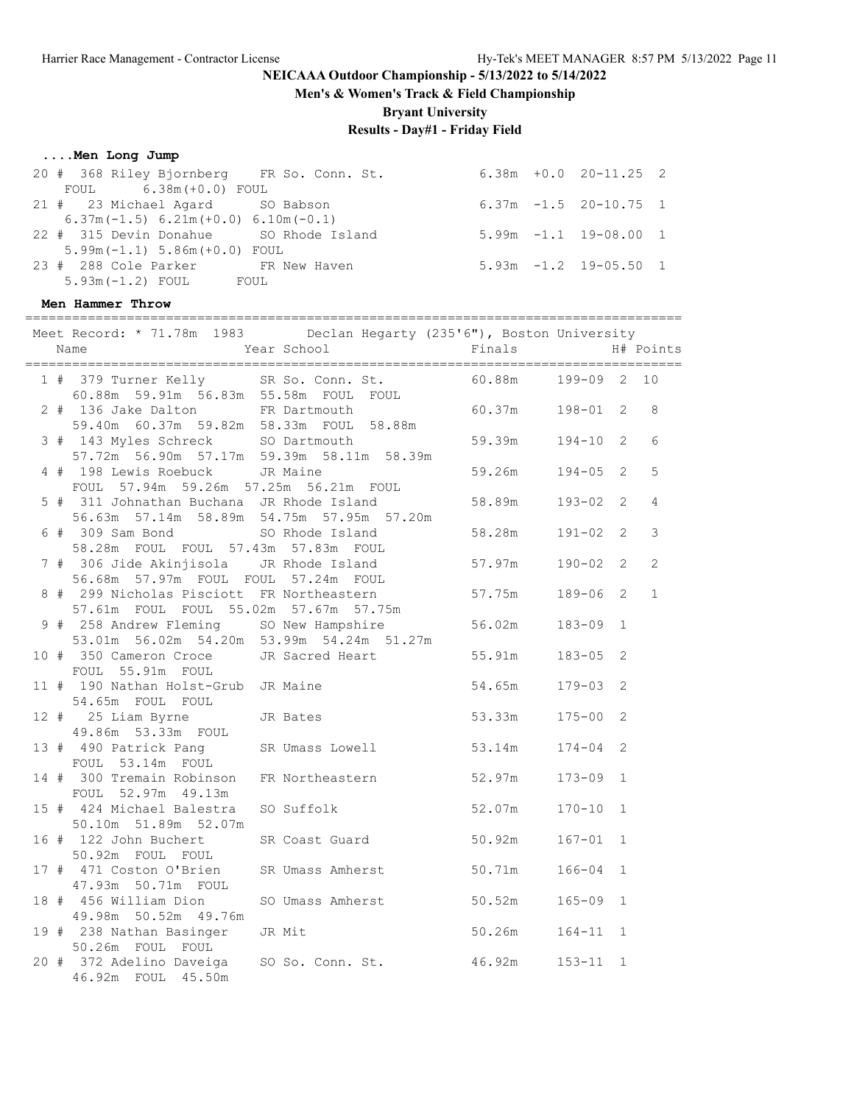**Men's & Women's Track & Field Championship**

**Bryant University**

# **Results - Day#1 - Friday Field**

#### **....Men Long Jump**

| 20 # 368 Riley Bjornberg FR So. Conn. St. |  | $6.38m + 0.0$ $20-11.25$ 2 |  |
|-------------------------------------------|--|----------------------------|--|
| FOUL 6.38m (+0.0) FOUL                    |  |                            |  |
| 21 # 23 Michael Agard SO Babson           |  | $6.37m - 1.5$ 20-10.75 1   |  |
| $6.37m(-1.5) 6.21m(+0.0) 6.10m(-0.1)$     |  |                            |  |
| 22 # 315 Devin Donahue SO Rhode Island    |  | $5.99m -1.1$ 19-08.00 1    |  |
| $5.99m(-1.1) 5.86m(+0.0)$ FOUL            |  |                            |  |
| 23 # 288 Cole Parker FR New Haven         |  | $5.93m -1.2$ 19-05.50 1    |  |
| $5.93m(-1.2)$ FOUL FOUL                   |  |                            |  |
|                                           |  |                            |  |

#### **Men Hammer Throw**

| Meet Record: * 71.78m 1983 Declan Hegarty (235'6"), Boston University<br>Name                                                                           | Year School | Finals                |              | H# Points      |
|---------------------------------------------------------------------------------------------------------------------------------------------------------|-------------|-----------------------|--------------|----------------|
|                                                                                                                                                         |             |                       |              |                |
| 1 # 379 Turner Kelly SR So. Conn. St.<br>60.88m 59.91m 56.83m 55.58m FOUL FOUL                                                                          |             | 60.88m  199-09  2  10 |              |                |
| 2 # 136 Jake Dalton FR Dartmouth 60.37m 198-01 2<br>59.40m 60.37m 59.82m 58.33m FOUL 58.88m                                                             |             |                       |              | 8              |
| 3 # 143 Myles Schreck SO Dartmouth<br>57.72m 56.90m 57.17m 59.39m 58.11m 58.39m                                                                         |             | 59.39m  194-10  2     |              | 6              |
| 4 # 198 Lewis Roebuck JR Maine<br>FOUL 57.94m 59.26m 57.25m 56.21m FOUL                                                                                 |             | 59.26m 194-05 2       |              | 5              |
| 5 # 311 Johnathan Buchana JR Rhode Island<br>311 Johnathan Buchana JR ANOW 10000<br>56.63m 57.14m 58.89m 54.75m 57.95m 57.20m<br>60 Phode Island 58.28m |             | 58.89m  193-02  2     |              | $\overline{4}$ |
| 6 # 309 Sam Bond SO Rhode Island<br>58.28m FOUL FOUL 57.43m 57.83m FOUL                                                                                 |             |                       | $191 - 02$ 2 | 3              |
| 7 # 306 Jide Akinjisola JR Rhode Island<br>56.68m  57.97m  FOUL  FOUL  57.24m  FOUL                                                                     |             | 57.97m                | $190 - 02$ 2 | $\mathbf{2}$   |
| 8 # 299 Nicholas Pisciott FR Northeastern<br>57.61m FOUL FOUL 55.02m 57.67m 57.75m                                                                      |             | 57.75m  189-06 2      |              | $\mathbf{1}$   |
| 9 # 258 Andrew Fleming SO New Hampshire<br>53.01m 56.02m 54.20m 53.99m 54.24m 51.27m                                                                    |             | 56.02m 183-09 1       |              |                |
| 10 # 350 Cameron Croce JR Sacred Heart 55.91m<br>FOUL 55.91m FOUL                                                                                       |             |                       | $183 - 05$ 2 |                |
| 11 # 190 Nathan Holst-Grub JR Maine<br>54.65m FOUL FOUL                                                                                                 |             | $54.65m$ $179-03$ 2   |              |                |
| 12 # 25 Liam Byrne JR Bates<br>49.86m 53.33m FOUL                                                                                                       |             | 53.33m 175-00 2       |              |                |
| 13 # 490 Patrick Pang SR Umass Lowell 53.14m 174-04 2<br>FOUL 53.14m FOUL                                                                               |             |                       |              |                |
| 14 # 300 Tremain Robinson FR Northeastern 52.97m 173-09 1<br>FOUL 52.97m 49.13m                                                                         |             |                       |              |                |
| 15 # 424 Michael Balestra SO Suffolk 52.07m 170-10 1<br>50.10m 51.89m 52.07m                                                                            |             |                       |              |                |
| 16 # 122 John Buchert SR Coast Guard 50.92m<br>50.92m FOUL FOUL                                                                                         |             |                       | $167 - 01$ 1 |                |
| 17 # 471 Coston O'Brien SR Umass Amherst 50.71m<br>47.93m 50.71m FOUL                                                                                   |             |                       | $166 - 04$ 1 |                |
| 18 # 456 William Dion SO Umass Amherst<br>49.98m 50.52m 49.76m                                                                                          |             | 50.52m                | $165 - 09$ 1 |                |
| 19 # 238 Nathan Basinger JR Mit<br>50.26m FOUL FOUL                                                                                                     |             | $50.26m$ $164-11$ 1   |              |                |
| 20 # 372 Adelino Daveiga SO So. Conn. St. 46.92m 153-11 1<br>46.92m FOUL 45.50m                                                                         |             |                       |              |                |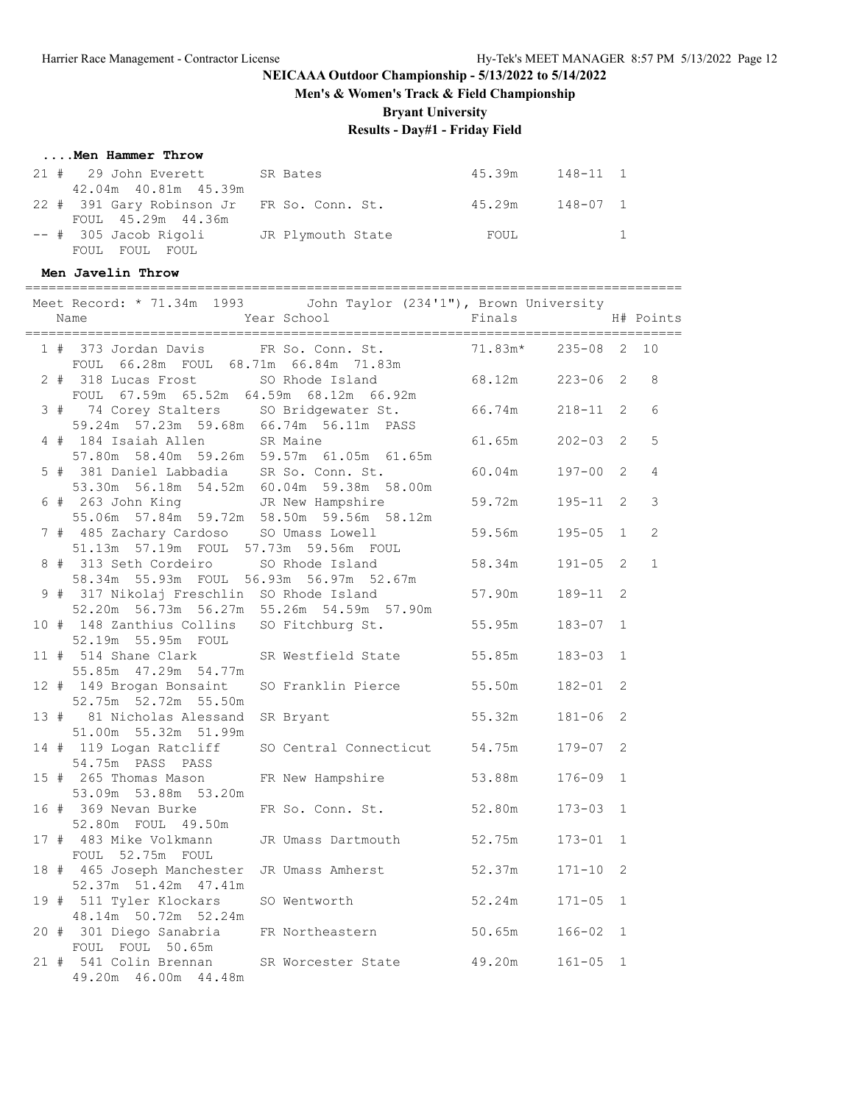**Men's & Women's Track & Field Championship**

**Bryant University**

### **Results - Day#1 - Friday Field**

#### **....Men Hammer Throw**

| 21 # 29 John Everett SR Bates                | 45.39m 148-11 1 |                                    |
|----------------------------------------------|-----------------|------------------------------------|
| 42.04m 40.81m 45.39m                         |                 |                                    |
| 22 # 391 Gary Robinson Jr FR So. Conn. St.   | 45.29m 148-07 1 |                                    |
| FOUL 45.29m 44.36m                           |                 |                                    |
| -- # 305 Jacob Rigoli More JR Plymouth State | FOUL            | $\sim$ $\sim$ $\sim$ $\sim$ $\sim$ |
| FOUL FOUL FOUL                               |                 |                                    |

#### **Men Javelin Throw**

==================================================================================== Meet Record: \* 71.34m 1993 John Taylor (234'1"), Brown University Name 1988 Mear School 1988 Finals H# Points ==================================================================================== 1 # 373 Jordan Davis FR So. Conn. St. FOUL 66.28m FOUL 68.71m 66.84m 71.83m 2 # 318 Lucas Frost SO Rhode Island 68.12m 223-06 2 8 FOUL 67.59m 65.52m 64.59m 68.12m 66.92m 3 # 74 Corey Stalters SO Bridgewater St. 66.74m 218-11 2 6 59.24m 57.23m 59.68m 66.74m 56.11m PASS 4 # 184 Isaiah Allen SR Maine 61.65m 202-03 2 5 57.80m 58.40m 59.26m 59.57m 61.05m 61.65m 5 # 381 Daniel Labbadia SR So. Conn. St. 60.04m 197-00 2 4 53.30m 56.18m 54.52m 60.04m 59.38m 58.00m 6 # 263 John King JR New Hampshire 59.72m 195-11 2 3 55.06m 57.84m 59.72m 58.50m 59.56m 58.12m 7 # 485 Zachary Cardoso SO Umass Lowell 59.56m 195-05 1 2 51.13m 57.19m FOUL 57.73m 59.56m FOUL 8 # 313 Seth Cordeiro SO Rhode Island 58.34m 191-05 2 1 58.34m 55.93m FOUL 56.93m 56.97m 52.67m 9 38.34m 33.95m FOOL 38.95m 30.97m 32.07m<br>9 # 317 Nikolaj Freschlin SO Rhode Island 57.90m 189-11 2 52.20m 56.73m 56.27m 55.26m 54.59m 57.90m 10 # 148 Zanthius Collins SO Fitchburg St. 55.95m 183-07 1 52.19m 55.95m FOUL 11 # 514 Shane Clark SR Westfield State 55.85m 183-03 1 55.85m 47.29m 54.77m 12 # 149 Brogan Bonsaint SO Franklin Pierce 55.50m 182-01 2 52.75m 52.72m 55.50m 13 # 81 Nicholas Alessand SR Bryant 55.32m 181-06 2 51.00m 55.32m 51.99m 14 # 119 Logan Ratcliff SO Central Connecticut 54.75m 179-07 2 54.75m PASS PASS 15 # 265 Thomas Mason FR New Hampshire 53.88m 176-09 1 53.09m 53.88m 53.20m 16 # 369 Nevan Burke FR So. Conn. St. 52.80m 173-03 1 52.80m FOUL 49.50m 17 # 483 Mike Volkmann JR Umass Dartmouth 52.75m 173-01 1 FOUL 52.75m FOUL 18 # 465 Joseph Manchester JR Umass Amherst 52.37m 171-10 2 52.37m 51.42m 47.41m 19 # 511 Tyler Klockars SO Wentworth 52.24m 171-05 1 48.14m 50.72m 52.24m 20 # 301 Diego Sanabria FR Northeastern 50.65m 166-02 1 FOUL FOUL 50.65m 21 # 541 Colin Brennan SR Worcester State 49.20m 161-05 1 49.20m 46.00m 44.48m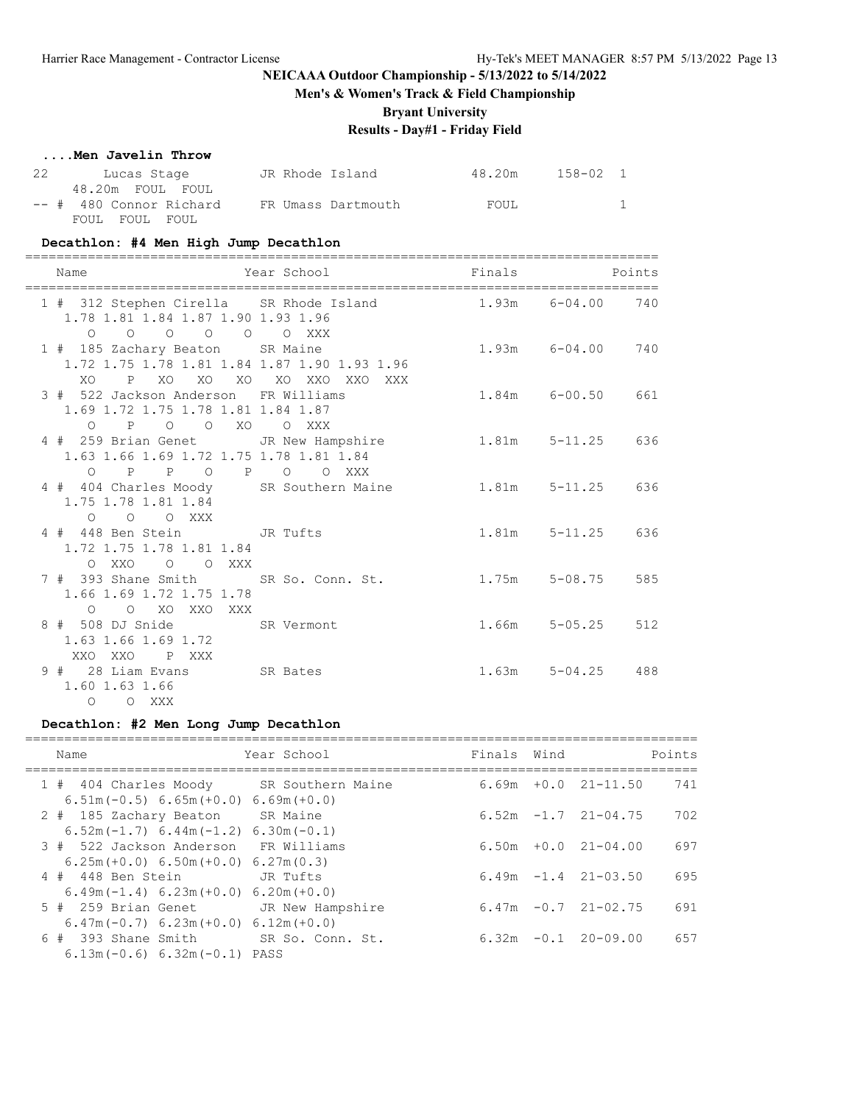**Men's & Women's Track & Field Championship**

**Bryant University**

## **Results - Day#1 - Friday Field**

#### **....Men Javelin Throw**

| 22 | Lucas Stage             |  | JR Rhode Island    | 48.20m | 158-02 1 |  |
|----|-------------------------|--|--------------------|--------|----------|--|
|    | 48.20m FOUL FOUL        |  |                    |        |          |  |
|    | -- # 480 Connor Richard |  | FR Umass Dartmouth | FOUL   |          |  |
|    | FOUL FOUL FOUL          |  |                    |        |          |  |

#### **Decathlon: #4 Men High Jump Decathlon**

| ============================<br>Name                                                                               | Year School                                               | =====================================<br>Finals Points |
|--------------------------------------------------------------------------------------------------------------------|-----------------------------------------------------------|--------------------------------------------------------|
| 1.78 1.81 1.84 1.87 1.90 1.93 1.96<br>$\begin{matrix}0&0&0&0&0&0&0&\text{XXX}\end{matrix}$                         | 1 # 312 Stephen Cirella SR Rhode Island 1.93m 6-04.00 740 |                                                        |
| 1 # 185 Zachary Beaton SR Maine<br>1.72 1.75 1.78 1.81 1.84 1.87 1.90 1.93 1.96<br>XO P XO XO XO XO XO XXO XXO XXX |                                                           | 1.93m 6-04.00 740                                      |
| 3 # 522 Jackson Anderson FR Williams<br>1.69 1.72 1.75 1.78 1.81 1.84 1.87<br>O P O O XO O XXX                     |                                                           | $1.84m$ $6-00.50$ $661$                                |
| 1.63 1.66 1.69 1.72 1.75 1.78 1.81 1.84<br>O P P O P O O XXX                                                       | 4 # 259 Brian Genet JR New Hampshire 1.81m 5-11.25 636    |                                                        |
| 1.75 1.78 1.81 1.84<br>$O$ $O$ $O$ $XXX$                                                                           | 4 # 404 Charles Moody SR Southern Maine 1.81m 5-11.25 636 |                                                        |
| 4 # 448 Ben Stein JR Tufts<br>1.72 1.75 1.78 1.81 1.84<br>O XXO<br>O O XXX                                         |                                                           | 1.81m 5-11.25 636                                      |
| 7 # 393 Shane Smith SR So. Conn. St.<br>1.66 1.69 1.72 1.75 1.78<br>O O XO XXO XXX                                 |                                                           | $1.75m$ $5-08.75$<br>585                               |
| 8 # 508 DJ Snide SR Vermont<br>1.63 1.66 1.69 1.72<br>XXO XXO P XXX                                                |                                                           | $1.66m$ $5-05.25$ $512$                                |
| 9 # 28 Liam Evans SR Bates<br>1.60 1.63 1.66<br>O O XXX                                                            |                                                           | $1.63m$ $5-04.25$ $488$                                |

#### **Decathlon: #2 Men Long Jump Decathlon**

| Name                                                                             | Year School      | Finals Wind |                            | Points |
|----------------------------------------------------------------------------------|------------------|-------------|----------------------------|--------|
| 1 # 404 Charles Moody SR Southern Maine<br>$6.51m(-0.5) 6.65m(+0.0) 6.69m(+0.0)$ |                  |             | $6.69m + 0.021 - 11.50$    | 741    |
| 2 # 185 Zachary Beaton<br>$6.52m(-1.7) 6.44m(-1.2) 6.30m(-0.1)$                  | SR Maine         |             | $6.52m -1.7$ 21-04.75      | 702    |
| 3 # 522 Jackson Anderson<br>$6.25m (+0.0) 6.50m (+0.0) 6.27m (0.3)$              | FR Williams      |             | $6.50m + 0.0$ $21-04.00$   | 697    |
| 4 # 448 Ben Stein<br>$6.49m(-1.4) 6.23m(+0.0) 6.20m(+0.0)$                       | JR Tufts         |             | $6.49m - 1.4$ $21 - 03.50$ | 695    |
| 5 # 259 Brian Genet<br>$6.47m(-0.7) 6.23m(+0.0) 6.12m(+0.0)$                     | JR New Hampshire |             | $6.47m - 0.7$ 21-02.75     | 691    |
| $6$ # 393 Shane Smith<br>$6.13m(-0.6) 6.32m(-0.1) PASS$                          | SR So. Conn. St. |             | $6.32m -0.1$ 20-09.00      | 657    |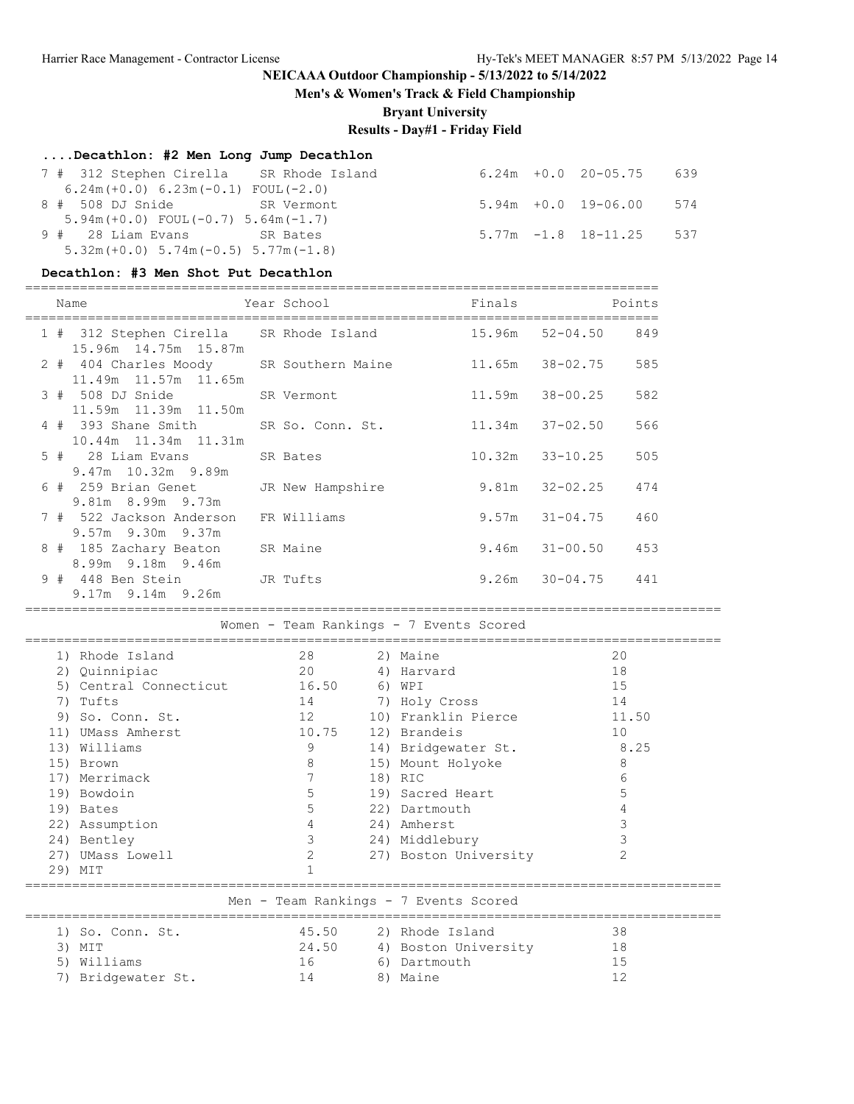**Men's & Women's Track & Field Championship**

**Bryant University**

# **Results - Day#1 - Friday Field**

#### **....Decathlon: #2 Men Long Jump Decathlon**

| 7 # 312 Stephen Cirella SR Rhode Island    |  | $6.24m + 0.0$ 20-05.75 639 |  |
|--------------------------------------------|--|----------------------------|--|
| $6.24m(+0.0) 6.23m(-0.1) F0UL(-2.0)$       |  |                            |  |
| 8 # 508 DJ Snide SR Vermont                |  | $5.94m + 0.0$ 19-06.00 574 |  |
| $5.94m(+0.0)$ FOUL $(-0.7)$ 5.64m $(-1.7)$ |  |                            |  |
| 9 # 28 Liam Evans SR Bates                 |  | $5.77m - 1.8$ 18-11.25 537 |  |
| $5.32m (+0.0) 5.74m (-0.5) 5.77m (-1.8)$   |  |                            |  |

#### **Decathlon: #3 Men Shot Put Decathlon**

#### =================================================================================

| Name                                                            | Year School      | Finals |                          | Points |
|-----------------------------------------------------------------|------------------|--------|--------------------------|--------|
| 1 # 312 Stephen Cirella SR Rhode Island<br>15.96m 14.75m 15.87m |                  | 15.96m | $52 - 04.50$ 849         |        |
| 2 # 404 Charles Moody SR Southern Maine<br>11.49m 11.57m 11.65m |                  |        | 11.65m 38-02.75          | 585    |
| 3 # 508 DJ Snide<br>11.59m 11.39m 11.50m                        | SR Vermont       | 11.59m | 38-00.25                 | 582    |
| 4 # 393 Shane Smith<br>10.44m 11.34m 11.31m                     | SR So. Conn. St. |        | $11.34m$ $37-02.50$      | 566    |
| 5 # 28 Liam Evans SR Bates<br>9.47m 10.32m 9.89m                |                  | 10.32m | 33-10.25                 | 505    |
| 6 # 259 Brian Genet<br>9.81m 8.99m 9.73m                        | JR New Hampshire |        | $9.81m$ $32-02.25$       | 474    |
| 7 # 522 Jackson Anderson<br>$9.57m$ 9.30m 9.37m                 | FR Williams      |        | $9.57m$ $31-04.75$       | 460    |
| 8 # 185 Zachary Beaton SR Maine<br>8.99m 9.18m 9.46m            |                  |        | $9.46m$ $31-00.50$ $453$ |        |
| 9 # 448 Ben Stein JR Tufts<br>9.17m 9.14m 9.26m                 |                  |        | $9.26m$ $30-04.75$ $441$ |        |

=========================================================================================

Women - Team Rankings - 7 Events Scored

|     | 1) Rhode Island        | 28                | 2) Maine              | 20    |
|-----|------------------------|-------------------|-----------------------|-------|
|     | 2) Quinnipiac          | 20                | 4) Harvard            | 18    |
|     | 5) Central Connecticut | 16.50             | 6) WPI                | 15    |
|     | 7) Tufts               | 14                | 7) Holy Cross         | 14    |
|     | 9) So. Conn. St.       | $12 \overline{ }$ | 10) Franklin Pierce   | 11.50 |
|     | 11) UMass Amherst      | 10.75             | 12) Brandeis          | 10    |
|     | 13) Williams           | 9                 | 14) Bridgewater St.   | 8.25  |
|     | 15) Brown              | 8                 | 15) Mount Holyoke     | 8     |
|     | 17) Merrimack          | 7                 | 18) RIC               | 6     |
|     | 19) Bowdoin            | 5                 | 19) Sacred Heart      | 5     |
|     | 19) Bates              | 5                 | 22) Dartmouth         |       |
|     | 22) Assumption         | 4                 | 24) Amherst           |       |
|     | 24) Bentley            | 3                 | 24) Middlebury        | 3     |
| 27) | UMass Lowell           | 2                 | 27) Boston University | 2     |
| 29) | MIT                    |                   |                       |       |

#### =========================================================================================

Men - Team Rankings - 7 Events Scored

| 1) So. Conn. St.   | 45.50 | 2) Rhode Island      | 38  |
|--------------------|-------|----------------------|-----|
| 3) MIT             | 24.50 | 4) Boston University | 18  |
| 5) Williams        | 16    | 6) Dartmouth         | - 5 |
| 7) Bridgewater St. | l 4   | 8) Maine             |     |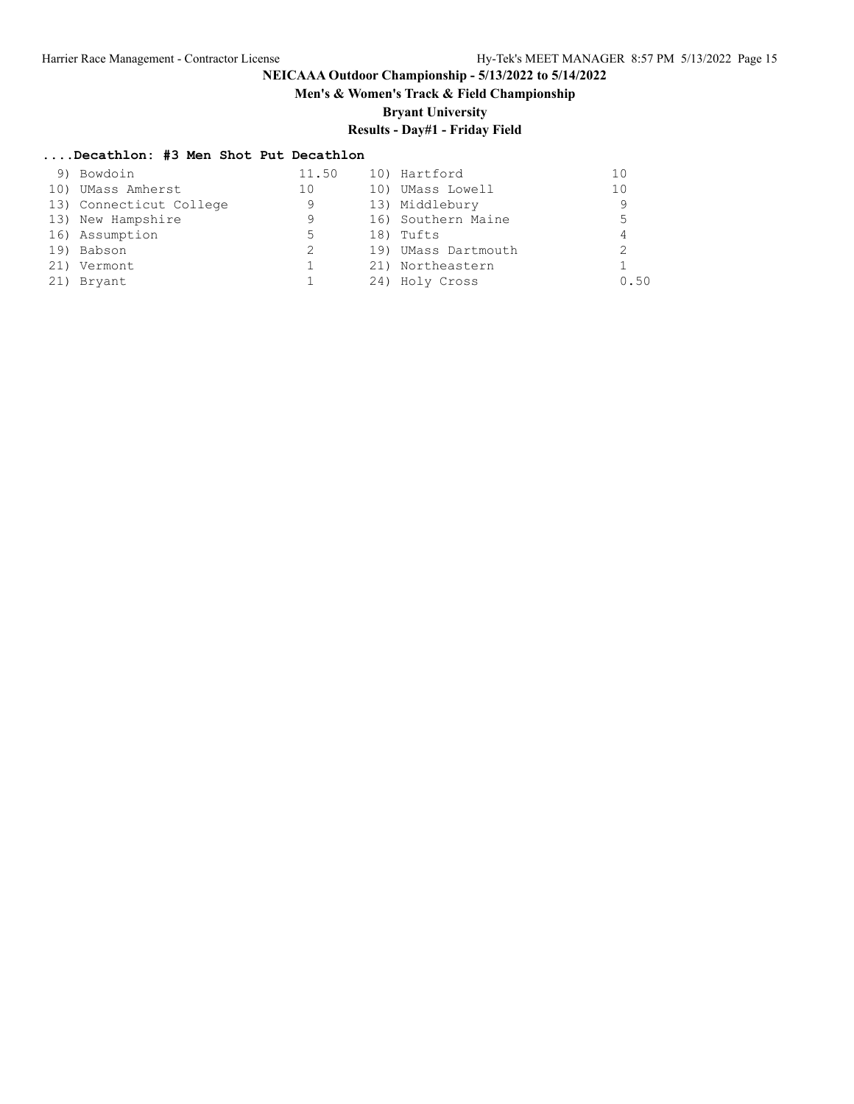# **Men's & Women's Track & Field Championship**

**Bryant University**

# **Results - Day#1 - Friday Field**

## **....Decathlon: #3 Men Shot Put Decathlon**

| 9) Bowdoin              | 11.50 | 10) Hartford        |      |
|-------------------------|-------|---------------------|------|
| 10) UMass Amherst       | 10    | 10) UMass Lowell    | 10   |
| 13) Connecticut College | 9     | 13) Middlebury      | 9    |
| 13) New Hampshire       | 9     | 16) Southern Maine  | 5    |
| 16) Assumption          | 5.    | 18) Tufts           |      |
| 19) Babson              | 2     | 19) UMass Dartmouth |      |
| 21) Vermont             |       | 21) Northeastern    |      |
| 21) Bryant              |       | 24) Holy Cross      | 0.50 |
|                         |       |                     |      |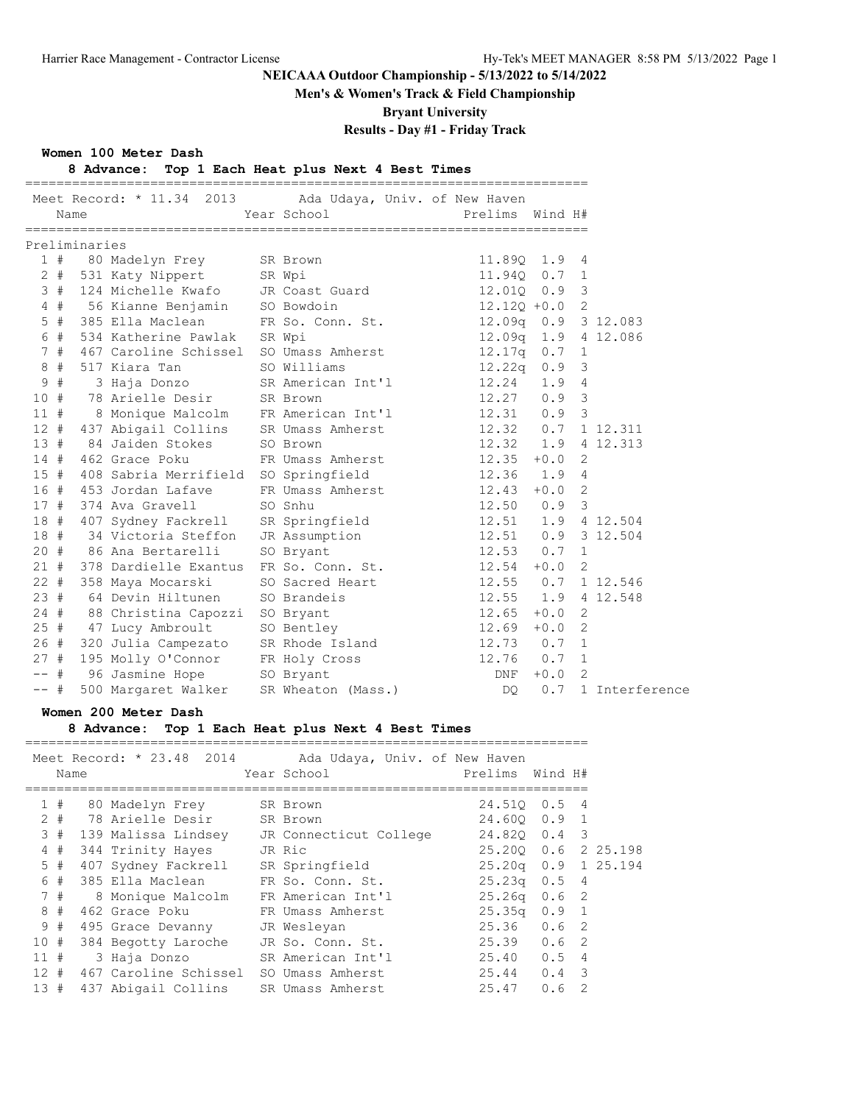**Men's & Women's Track & Field Championship**

**Bryant University**

# **Results - Day #1 - Friday Track**

#### **Women 100 Meter Dash**

## **8 Advance: Top 1 Each Heat plus Next 4 Best Times**

|        | Name  |               |                                       | Meet Record: * 11.34 2013 Ada Udaya, Univ. of New Haven<br>Year School | Prelims             | Wind H# |                            |                |
|--------|-------|---------------|---------------------------------------|------------------------------------------------------------------------|---------------------|---------|----------------------------|----------------|
|        |       | Preliminaries |                                       |                                                                        |                     |         |                            |                |
|        |       |               | 1 # 80 Madelyn Frey SR Brown          |                                                                        | 11.890 1.9 4        |         |                            |                |
|        | $2 +$ |               | 531 Katy Nippert SR Wpi               |                                                                        | 11.94Q 0.7 1        |         |                            |                |
|        | 3#    |               | 124 Michelle Kwafo     JR Coast Guard |                                                                        | 12.010              | $0.9$ 3 |                            |                |
|        | $4$ # |               | 56 Kianne Benjamin SO Bowdoin         |                                                                        | $12.12Q + 0.02$     |         |                            |                |
|        | $5$ # |               |                                       | 385 Ella Maclean FR So. Conn. St.                                      | 12.09q 0.9 3 12.083 |         |                            |                |
|        | 6#    |               | 534 Katherine Pawlak                  | SR Wpi                                                                 | 12.09q 1.9 4 12.086 |         |                            |                |
|        | 7#    |               | 467 Caroline Schissel                 | SO Umass Amherst                                                       | 12.17q              | 0.7     | $\overline{1}$             |                |
|        | 8#    |               | 517 Kiara Tan                         | SO Williams                                                            | 12.22q              | 0.9     | $\overline{\mathbf{3}}$    |                |
| 9      | #     |               |                                       | 3 Haja Donzo SR American Int'l                                         | 12.24               | 1.94    |                            |                |
| 10#    |       |               | 78 Arielle Desir SR Brown             |                                                                        | 12.27               | $0.9$ 3 |                            |                |
| 11#    |       |               |                                       | 8 Monique Malcolm FR American Int'l 12.31                              |                     | $0.9$ 3 |                            |                |
| 12#    |       |               |                                       | 437 Abigail Collins SR Umass Amherst 12.32                             |                     | 0.7     |                            | 1 12.311       |
| 13#    |       |               | 84 Jaiden Stokes                      | SO Brown                                                               | 12.32               |         |                            | 1.9 4 12.313   |
| 14#    |       |               | 462 Grace Poku                        | FR Umass Amherst                                                       | 12.35               | $+0.0$  | $\overline{2}$             |                |
| $15$ # |       |               | 408 Sabria Merrifield SO Springfield  |                                                                        | 12.36 1.9           |         | $\overline{4}$             |                |
| 16#    |       |               | 453 Jordan Lafave                     | FR Umass Amherst 12.43                                                 |                     | $+0.0$  | $\overline{2}$             |                |
| 17#    |       |               | 374 Ava Gravell                       | SO Snhu                                                                | $12.50$ 0.9 3       |         |                            |                |
| 18 #   |       |               |                                       | 407 Sydney Fackrell SR Springfield 12.51                               |                     |         |                            | 1.9 4 12.504   |
| 18#    |       |               | 34 Victoria Steffon JR Assumption     |                                                                        | 12.51               |         |                            | $0.9$ 3 12.504 |
|        |       |               | 20 # 86 Ana Bertarelli                | SO Bryant                                                              | 12.53               | 0.7     | $\overline{1}$             |                |
| 21#    |       |               | 378 Dardielle Exantus                 | FR So. Conn. St. 12.54                                                 |                     | $+0.0$  | $\overline{\phantom{0}}^2$ |                |
| $22 +$ |       |               | 358 Maya Mocarski                     | SO Sacred Heart                                                        | 12.55 0.7 1 12.546  |         |                            |                |
| 23#    |       |               | 64 Devin Hiltunen                     | SO Brandeis                                                            | 12.55               |         |                            | 1.9 4 12.548   |
|        |       |               | 24 # 88 Christina Capozzi             | SO Bryant                                                              | 12.65               | $+0.0$  | $\overline{2}$             |                |
|        |       |               | 25 # 47 Lucy Ambroult                 | SO Bentley                                                             | 12.69               | $+0.0$  | $\overline{2}$             |                |
| 26#    |       |               | 320 Julia Campezato                   | SR Rhode Island 12.73                                                  |                     | 0.7     | $\overline{1}$             |                |
| 27#    |       |               | 195 Molly O'Connor FR Holy Cross      |                                                                        | $12.76$ 0.7         |         | $\overline{1}$             |                |
| $- -$  | #     |               | 96 Jasmine Hope 50 Bryant             |                                                                        | DNF                 | $+0.0$  | $\overline{2}$             |                |
| $--$ # |       |               | 500 Margaret Walker                   | SR Wheaton (Mass.)                                                     | DO.                 | 0.7     |                            | 1 Interference |

#### **Women 200 Meter Dash**

#### **8 Advance: Top 1 Each Heat plus Next 4 Best Times**

|          | Name | Meet Record: * 23.48 2014 | Ada Udaya, Univ. of New Haven<br>Year School | Prelims Wind H# |                       |          |
|----------|------|---------------------------|----------------------------------------------|-----------------|-----------------------|----------|
|          | 1#   | 80 Madelyn Frey           | SR Brown                                     | 24.510          | $\overline{4}$<br>0.5 |          |
|          |      | 2 # 78 Arielle Desir      | SR Brown                                     |                 | 24.600 0.9 1          |          |
| 3#       |      | 139 Malissa Lindsey       | JR Connecticut College                       | 24.820          | $0.4 \quad 3$         |          |
|          | 4#   | 344 Trinity Hayes         | JR Ric                                       | 25.200          | 0.6 2 25.198          |          |
| 5#       |      | 407 Sydney Fackrell       | SR Springfield                               | 25.20g   0.9    |                       | 1 25.194 |
| 6        | #    | 385 Ella Maclean          | FR So. Conn. St.                             |                 | $25.23q$ 0.5 4        |          |
|          | 7#   | 8 Monique Malcolm         | FR American Int'l                            |                 | $25.26q$ 0.6 2        |          |
|          | 8#   | 462 Grace Poku            | FR Umass Amherst                             | 25.35q          | $0.9 \quad 1$         |          |
|          | 9#   | 495 Grace Devanny         | JR Wesleyan                                  | 25.36           | $0.6 \quad 2$         |          |
| 10 #     |      | 384 Begotty Laroche       | JR So. Conn. St.                             | 25.39           | $0.6-2$               |          |
| $11 \pm$ |      | 3 Haja Donzo              | SR American Int'l                            | 25.40           | 4<br>0.5              |          |
| $12 \pm$ |      | 467 Caroline Schissel     | SO Umass Amherst                             | 25.44           | $0.4 \quad 3$         |          |
| 13#      |      | 437 Abigail Collins       | SR Umass Amherst                             | 25.47           | 0.6<br>2              |          |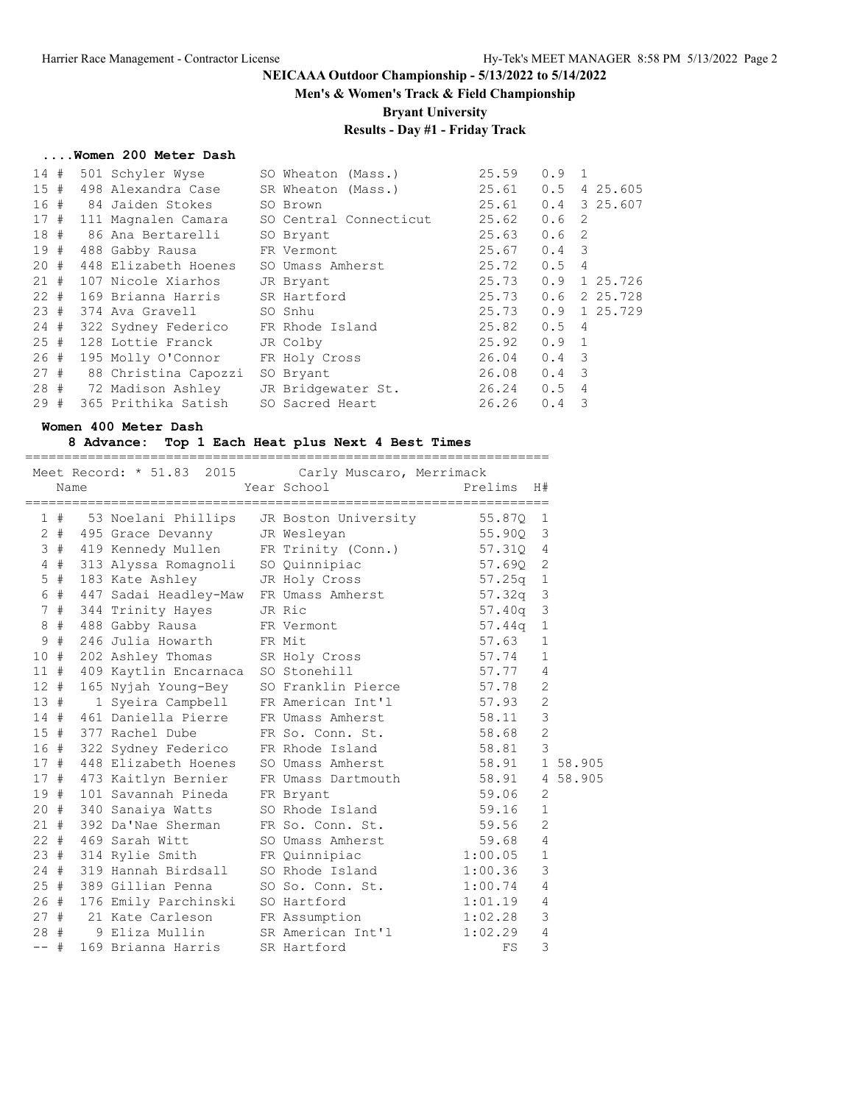**Men's & Women's Track & Field Championship**

**Bryant University**

# **Results - Day #1 - Friday Track**

#### **....Women 200 Meter Dash**

| 14#  |  | 501 Schyler Wyse       | SO Wheaton (Mass.)     | 25.59         | $0.9 \quad 1$    |                         |  |
|------|--|------------------------|------------------------|---------------|------------------|-------------------------|--|
| 15#  |  | 498 Alexandra Case     | SR Wheaton (Mass.)     | 25.61         |                  | $0.5$ 4 25.605          |  |
| 16 # |  | 84 Jaiden Stokes       | SO Brown               | 25.61         |                  | $0.4$ 3 25.607          |  |
| 17#  |  | 111 Magnalen Camara    | SO Central Connecticut | 25.62         | 0.6 <sub>2</sub> |                         |  |
|      |  | 18 # 86 Ana Bertarelli | SO Bryant              | 25.63         | 0.6 <sub>2</sub> |                         |  |
| 19#  |  | 488 Gabby Rausa        | FR Vermont             | 25.67         | $0.4 \quad 3$    |                         |  |
| 20#  |  | 448 Elizabeth Hoenes   | SO Umass Amherst       | 25.72         | 0.54             |                         |  |
| 21#  |  | 107 Nicole Xiarhos     | JR Bryant              | 25.73         |                  | $0.9$ 1 25.726          |  |
| 22#  |  | 169 Brianna Harris     | SR Hartford            | 25.73         |                  | $0.6$ 2 25.728          |  |
| 23#  |  | 374 Ava Gravell        | SO Snhu                | 25.73         |                  | $0.9$ 1 25.729          |  |
| 24#  |  | 322 Sydney Federico    | FR Rhode Island        | 25.82         | 0.54             |                         |  |
| 25#  |  | 128 Lottie Franck      | JR Colby               | 25.92         | $0.9 \quad 1$    |                         |  |
| 26#  |  | 195 Molly O'Connor     | FR Holy Cross          | 26.04         | $0.4 \quad 3$    |                         |  |
| 27#  |  | 88 Christina Capozzi   | SO Bryant              | 26.08         | $0.4 \quad 3$    |                         |  |
|      |  | 28 # 72 Madison Ashley | JR Bridgewater St.     | $26.24$ 0.5 4 |                  |                         |  |
| 29#  |  | 365 Prithika Satish    | SO Sacred Heart        | 26.26         | 0.4              | $\overline{\mathbf{3}}$ |  |
|      |  |                        |                        |               |                  |                         |  |

#### **Women 400 Meter Dash**

#### **8 Advance: Top 1 Each Heat plus Next 4 Best Times** ===================================================================

|        |       | Name | Meet Record: * 51.83 2015 Carly Muscaro, Merrimack                                                                                       | Year School                     | Prelims    | H#             |          |
|--------|-------|------|------------------------------------------------------------------------------------------------------------------------------------------|---------------------------------|------------|----------------|----------|
|        |       |      |                                                                                                                                          |                                 |            |                |          |
|        |       |      |                                                                                                                                          |                                 |            |                |          |
|        |       |      | 1 # 53 Noelani Phillips JR Boston University 55.87Q 1<br>2 # 495 Grace Devanny JR Wesleyan 55.90Q 3<br>2 # 495 Grace Devanny JR Wesleyan |                                 |            |                |          |
|        |       |      | 3 # 419 Kennedy Mullen FR Trinity (Conn.) 57.31Q 4                                                                                       |                                 |            |                |          |
|        |       |      | 4 # 313 Alyssa Romagnoli SO Quinnipiac 57.69Q 2                                                                                          |                                 |            |                |          |
|        | 5 #   |      | 183 Kate Ashley JR Holy Cross                                                                                                            |                                 | $57.25q$ 1 |                |          |
|        | 6 #   |      | 447 Sadai Headley-Maw                                                                                                                    | FR Umass Amherst 57.32q 3       |            |                |          |
|        | 7#    |      | 344 Trinity Hayes                                                                                                                        | JR Ric                          | 57.40q 3   |                |          |
|        | $8$ # |      | 488 Gabby Rausa                                                                                                                          | FR Vermont                      | $57.44q$ 1 |                |          |
|        | 9#    |      | 246 Julia Howarth FR Mit                                                                                                                 |                                 | 57.63      | $\mathbf{1}$   |          |
|        |       |      | 10 # 202 Ashley Thomas SR Holy Cross                                                                                                     |                                 | 57.74      | $\mathbf{1}$   |          |
|        |       |      | 11 # 409 Kaytlin Encarnaca SO Stonehill                                                                                                  |                                 | 57.77 4    |                |          |
|        |       |      | 12 # 165 Nyjah Young-Bey                                                                                                                 | SO Franklin Pierce 57.78        |            | $\overline{2}$ |          |
|        | 13#   |      | 1 Syeira Campbell                                                                                                                        | FR American Int'l 57.93         |            | $\overline{2}$ |          |
|        |       |      | 14 # 461 Daniella Pierre                                                                                                                 | FR Umass Amherst 58.11          |            | 3              |          |
|        |       |      | 15 # 377 Rachel Dube                                                                                                                     | FR So. Conn. St. 58.68          |            | $\overline{2}$ |          |
|        |       |      | 16 # 322 Sydney Federico FR Rhode Island 58.81 3                                                                                         |                                 |            |                |          |
|        |       |      | 17 # 448 Elizabeth Hoenes                                                                                                                | SO Umass Amherst 58.91 1 58.905 |            |                |          |
|        |       |      | 17 # 473 Kaitlyn Bernier                                                                                                                 | FR Umass Dartmouth 58.91        |            |                | 4 58.905 |
|        | 19#   |      | 101 Savannah Pineda                                                                                                                      | FR Bryant                       | 59.06      | $\overline{2}$ |          |
|        |       |      | 20 # 340 Sanaiya Watts                                                                                                                   | SO Rhode Island 59.16           |            | $\mathbf{1}$   |          |
|        |       |      | 21 # 392 Da'Nae Sherman                                                                                                                  | FR So. Conn. St. 59.56          |            | 2              |          |
|        |       |      | 22 # 469 Sarah Witt                                                                                                                      | SO Umass Amherst 59.68 4        |            |                |          |
|        |       |      | 23 # 314 Rylie Smith                                                                                                                     | FR Quinnipiac 1:00.05           |            | $\mathbf{1}$   |          |
|        |       |      | 24 # 319 Hannah Birdsall                                                                                                                 | SO Rhode Island 1:00.36         |            | 3              |          |
|        | 25#   |      | 389 Gillian Penna                                                                                                                        | SO So. Conn. St. 1:00.74        |            | 4              |          |
|        |       |      | 26 # 176 Emily Parchinski SO Hartford                                                                                                    |                                 | 1:01.19    | $\overline{4}$ |          |
|        |       |      | 27 # 21 Kate Carleson FR Assumption 1:02.28                                                                                              |                                 |            | 3              |          |
|        |       | 28#  | 9 Eliza Mullin SR American Int'l 1:02.29                                                                                                 |                                 |            | $\overline{4}$ |          |
| $--$ # |       |      | 169 Brianna Harris                                                                                                                       | SR Hartford                     | FS         | 3              |          |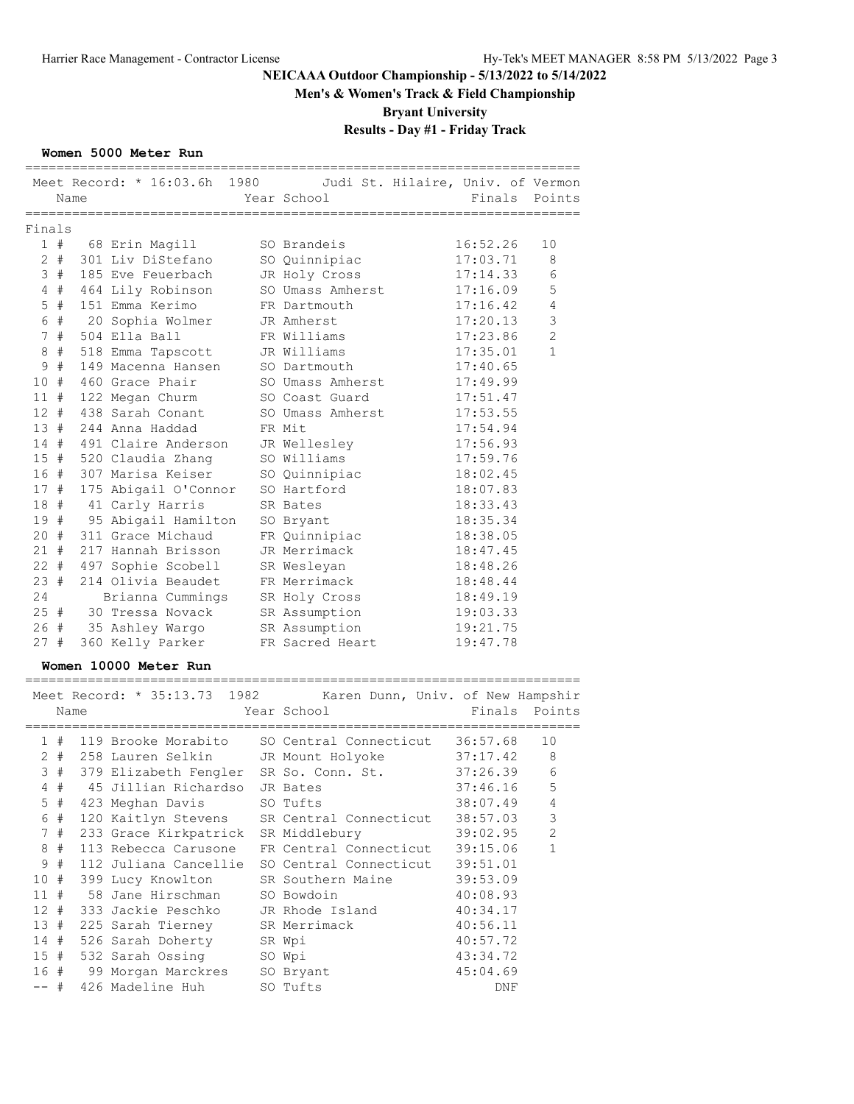**Men's & Women's Track & Field Championship**

**Bryant University**

# **Results - Day #1 - Friday Track**

### **Women 5000 Meter Run**

|             | Meet Record: $* 16:03.6h$                | 1980             |                                        | Judi St. Hilaire, Univ. of Vermon |               |
|-------------|------------------------------------------|------------------|----------------------------------------|-----------------------------------|---------------|
|             | Name                                     |                  | Year School                            | Finals                            | Points        |
|             | ======================                   | ================ |                                        |                                   |               |
| Finals      |                                          |                  |                                        |                                   |               |
| 1#          | 68 Erin Magill                           |                  | SO Brandeis                            | 16:52.26                          | 10            |
| $2 +$       | 301 Liv DiStefano                        |                  | SO Quinnipiac                          | 17:03.71                          | 8             |
| 3#          | 185 Eve Feuerbach                        |                  | JR Holy Cross                          | 17:14.33                          | 6             |
| 4#          | 464 Lily Robinson                        |                  | SO Umass Amherst                       | 17:16.09                          | 5             |
| #<br>5      | 151 Emma Kerimo                          |                  | FR Dartmouth                           | 17:16.42                          | 4             |
| 6 #         | 20 Sophia Wolmer                         |                  | JR Amherst                             | 17:20.13                          | $\mathcal{S}$ |
| 7#          | 504 Ella Ball                            |                  | FR Williams                            | 17:23.86                          | $\mathbf{2}$  |
| #<br>8      | 518 Emma Tapscott                        |                  | JR Williams                            | 17:35.01                          | 1             |
| #<br>9      | 149 Macenna Hansen                       |                  | SO Dartmouth                           | 17:40.65                          |               |
| 10#         | 460 Grace Phair                          |                  | SO Umass Amherst                       | 17:49.99                          |               |
| 11 #        | 122 Megan Churm                          |                  | SO Coast Guard                         | 17:51.47                          |               |
| $12 +$      | 438 Sarah Conant                         |                  | SO Umass Amherst                       | 17:53.55                          |               |
| 13#         | 244 Anna Haddad                          |                  | FR Mit                                 | 17:54.94                          |               |
| 14 #        | 491 Claire Anderson                      |                  | JR Wellesley                           | 17:56.93                          |               |
| 15#         | 520 Claudia Zhang                        |                  | SO Williams                            | 17:59.76                          |               |
| 16 #        | 307 Marisa Keiser                        |                  | SO Quinnipiac                          | 18:02.45                          |               |
| 17#         | 175 Abigail O'Connor                     |                  | SO Hartford                            | 18:07.83                          |               |
| 18 #        | 41 Carly Harris                          |                  | SR Bates                               | 18:33.43                          |               |
| 19#         | 95 Abigail Hamilton                      |                  | SO Bryant                              | 18:35.34                          |               |
| 20#         | 311 Grace Michaud                        |                  | FR Quinnipiac                          | 18:38.05                          |               |
| 21 #        | 217 Hannah Brisson                       |                  | JR Merrimack                           | 18:47.45                          |               |
| $22 +$      | 497 Sophie Scobell                       |                  | SR Wesleyan                            | 18:48.26                          |               |
| 23#         | 214 Olivia Beaudet                       |                  | FR Merrimack                           | 18:48.44                          |               |
| 24          | Brianna Cummings                         |                  | SR Holy Cross                          | 18:49.19                          |               |
| $25 +$      | 30 Tressa Novack                         |                  | SR Assumption                          | 19:03.33                          |               |
| 26 #        | 35 Ashley Wargo                          |                  | SR Assumption                          | 19:21.75                          |               |
| 27#         | 360 Kelly Parker                         |                  | FR Sacred Heart                        | 19:47.78                          |               |
|             | Women 10000 Meter Run                    |                  |                                        |                                   |               |
|             | ----------------------------------       |                  |                                        |                                   |               |
|             | Meet Record: * 35:13.73                  | 1982             |                                        | Karen Dunn, Univ. of New Hampshir |               |
|             | Name                                     |                  | Year School                            | Finals                            | Points        |
|             |                                          |                  |                                        |                                   |               |
| 1#<br>$2 +$ | 119 Brooke Morabito<br>258 Lauren Selkin |                  | SO Central Connecticut                 | 36:57.68                          | 10            |
| 3#          |                                          |                  | JR Mount Holyoke                       | 37:17.42<br>37:26.39              | 8             |
|             |                                          |                  | 379 Elizabeth Fengler SR So. Conn. St. |                                   | 6             |
| 4#          | 45 Jillian Richardso                     |                  | JR Bates                               | 37:46.16                          | 5             |
| $5$ #       | 423 Meghan Davis                         |                  | SO Tufts                               | 38:07.49                          | 4             |
| 6#          | 120 Kaitlyn Stevens                      |                  | SR Central Connecticut                 | 38:57.03                          | 3             |
| 7<br>#      | 233 Grace Kirkpatrick                    |                  | SR Middlebury                          | 39:02.95                          | 2             |
| 8<br>#      | 113 Rebecca Carusone                     |                  | FR Central Connecticut                 | 39:15.06                          | 1             |
| #<br>9      | 112 Juliana Cancellie                    |                  | SO Central Connecticut                 | 39:51.01                          |               |
| 10 #        | 399 Lucy Knowlton                        |                  | SR Southern Maine                      | 39:53.09                          |               |
| 11#         | 58 Jane Hirschman                        |                  | SO Bowdoin                             | 40:08.93                          |               |
| 12#         | 333 Jackie Peschko                       |                  | JR Rhode Island                        | 40:34.17                          |               |
| 13#         | 225 Sarah Tierney                        |                  | SR Merrimack                           | 40:56.11                          |               |
| 14 #        | 526 Sarah Doherty                        |                  | SR Wpi                                 | 40:57.72                          |               |
| 15#         | 532 Sarah Ossing                         |                  | SO Wpi                                 | 43:34.72                          |               |
| 16 #        | 99 Morgan Marckres                       |                  | SO Bryant                              | 45:04.69                          |               |
| -- #        | 426 Madeline Huh                         |                  | SO Tufts                               | DNF                               |               |

=======================================================================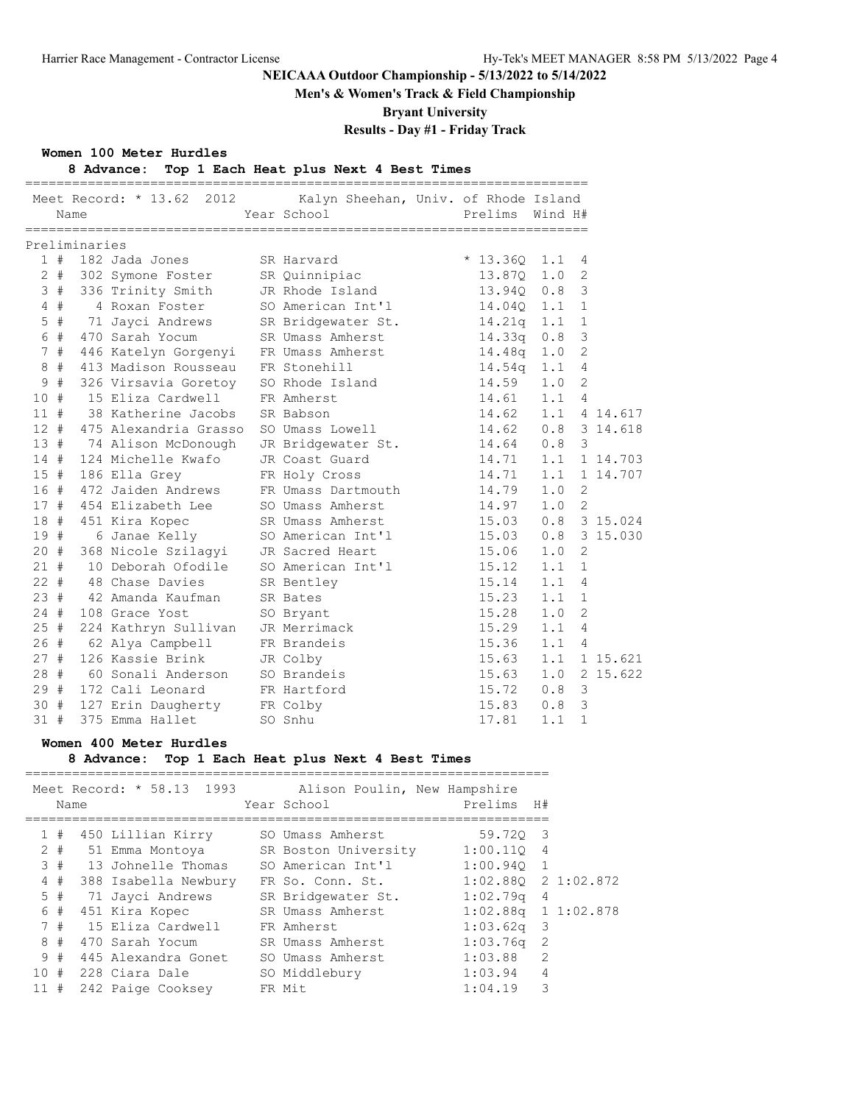**Men's & Women's Track & Field Championship**

**Bryant University**

# **Results - Day #1 - Friday Track**

#### **Women 100 Meter Hurdles**

## **8 Advance: Top 1 Each Heat plus Next 4 Best Times**

|        |       |               |                                       | Meet Record: * 13.62 2012 Kalyn Sheehan, Univ. of Rhode Island |                |                       |          |
|--------|-------|---------------|---------------------------------------|----------------------------------------------------------------|----------------|-----------------------|----------|
|        |       | Name          |                                       | Year School Search                                             | Prelims        | Wind H#               |          |
|        |       | Preliminaries |                                       |                                                                |                |                       |          |
|        |       |               | $1$ # $182$ Jada Jones                | SR Harvard                                                     | $* 13.360 1.1$ | 4                     |          |
|        | $2 +$ |               | 302 Symone Foster SR Quinnipiac       |                                                                | 13.87Q 1.0     | $\overline{2}$        |          |
|        |       |               | 3 # 336 Trinity Smith JR Rhode Island |                                                                | 13.940 0.8     | 3                     |          |
|        | 4#    |               |                                       | 4 Roxan Foster SO American Int'l 14.040 1.1                    |                | 1                     |          |
|        | $5$ # |               |                                       | 71 Jayci Andrews SR Bridgewater St. 14.21q 1.1                 |                | $\mathbf{1}$          |          |
|        | 6 #   |               | 470 Sarah Yocum                       | SR Umass Amherst                                               | $14.33q$ $0.8$ | 3                     |          |
|        | 7#    |               | 446 Katelyn Gorgenyi FR Umass Amherst |                                                                | 14.48q 1.0     | 2                     |          |
|        | $8 +$ |               | 413 Madison Rousseau FR Stonehill     |                                                                | $14.54q$ $1.1$ | 4                     |          |
| 9      | #     |               | 326 Virsavia Goretoy                  | SO Rhode Island                                                | 14.59          | $\overline{2}$<br>1.0 |          |
| 10#    |       |               | 15 Eliza Cardwell                     | FR Amherst                                                     | 14.61          | $\overline{4}$<br>1.1 |          |
| 11#    |       |               | 38 Katherine Jacobs                   | SR Babson                                                      | 14.62          | 1.1                   | 4 14.617 |
| $12 +$ |       |               | 475 Alexandria Grasso                 | SO Umass Lowell                                                | 14.62          | 0.8                   | 3 14.618 |
| 13#    |       |               | 74 Alison McDonough                   | JR Bridgewater St. 14.64 0.8                                   |                | 3                     |          |
| 14#    |       |               | 124 Michelle Kwafo                    | JR Coast Guard                                                 | 14.71 1.1      |                       | 1 14.703 |
| 15#    |       |               | 186 Ella Grey                         | FR Holy Cross                                                  | 14.71          | 1.1                   | 1 14.707 |
|        | 16#   |               | 472 Jaiden Andrews                    | FR Umass Dartmouth                                             | 14.79          | 1.0<br>2              |          |
|        | 17#   |               | 454 Elizabeth Lee                     | SO Umass Amherst                                               | 14.97          | 1.0<br>2              |          |
|        |       |               | 18 # 451 Kira Kopec                   | SR Umass Amherst                                               | 15.03          | 0.8                   | 3 15.024 |
|        |       | 19 #          | 6 Janae Kelly                         | SO American Int'l                                              | 15.03          | 0.8                   | 3 15.030 |
|        |       |               | 20 # 368 Nicole Szilagyi              | JR Sacred Heart                                                | 15.06          | $\overline{2}$<br>1.0 |          |
| 21#    |       |               | 10 Deborah Ofodile                    | SO American Int'l                                              | 15.12          | 1.1<br>1              |          |
| $22 +$ |       |               | 48 Chase Davies                       | SR Bentley                                                     | 15.14          | 1.1<br>$\overline{4}$ |          |
| 23#    |       |               | 42 Amanda Kaufman                     | SR Bates                                                       | 15.23          | 1.1<br>$\mathbf{1}$   |          |
| 24#    |       |               | 108 Grace Yost                        | SO Bryant                                                      | 15.28          | $\overline{2}$<br>1.0 |          |
| $25$ # |       |               | 224 Kathryn Sullivan                  | JR Merrimack                                                   | 15.29          | 1.1<br>4              |          |
| 26#    |       |               | 62 Alya Campbell                      | FR Brandeis                                                    | 15.36          | 1.1<br>$\overline{4}$ |          |
| 27#    |       |               | 126 Kassie Brink                      | JR Colby                                                       | 15.63          | 1.1                   | 1 15.621 |
| 28#    |       |               | 60 Sonali Anderson                    | SO Brandeis                                                    | 15.63          | 1.0                   | 2 15.622 |
| 29#    |       |               | 172 Cali Leonard                      | FR Hartford                                                    | 15.72          | $\mathcal{S}$<br>0.8  |          |
| 30#    |       |               | 127 Erin Daugherty FR Colby           |                                                                | 15.83          | $\mathcal{S}$<br>0.8  |          |
| 31#    |       |               | 375 Emma Hallet                       | SO Snhu                                                        | 17.81          | $\mathbf{1}$<br>1.1   |          |

### **Women 400 Meter Hurdles**

## **8 Advance: Top 1 Each Heat plus Next 4 Best Times**

|     |       | Name | Meet Record: * 58.13 1993 | Alison Poulin, New Hampshire<br>Year School | Prelims H#              |                |  |
|-----|-------|------|---------------------------|---------------------------------------------|-------------------------|----------------|--|
|     | 1#    |      | 450 Lillian Kirry         | SO Umass Amherst                            | 59.720 3                |                |  |
|     | $2 +$ |      | 51 Emma Montova           | SR Boston University                        | 1:00.110 4              |                |  |
|     | 3#    |      | 13 Johnelle Thomas        | SO American Int'l                           | $1:00.940$ 1            |                |  |
|     | 4#    |      | 388 Isabella Newbury      | FR So. Conn. St.                            | $1:02.880$ 2 1:02.872   |                |  |
|     | 5#    |      | 71 Jayci Andrews          | SR Bridgewater St.                          | $1:02$ .79q             | $\overline{4}$ |  |
|     | 6 #   |      | 451 Kira Kopec            | SR Umass Amherst                            | $1:02.88q$ 1 $1:02.878$ |                |  |
|     | 7#    |      | 15 Eliza Cardwell         | FR Amherst                                  | $1:03.62q$ 3            |                |  |
| 8   | #     |      | 470 Sarah Yocum           | SR Umass Amherst                            | $1:03.76q$ 2            |                |  |
|     | 9#    |      | 445 Alexandra Gonet       | SO Umass Amherst                            | 1:03.88                 | 2              |  |
|     |       |      | 10 # 228 Ciara Dale       | SO Middlebury                               | 1:03.94                 | 4              |  |
| 11# |       |      | 242 Paige Cooksey         | FR Mit                                      | 1:04.19                 | 3              |  |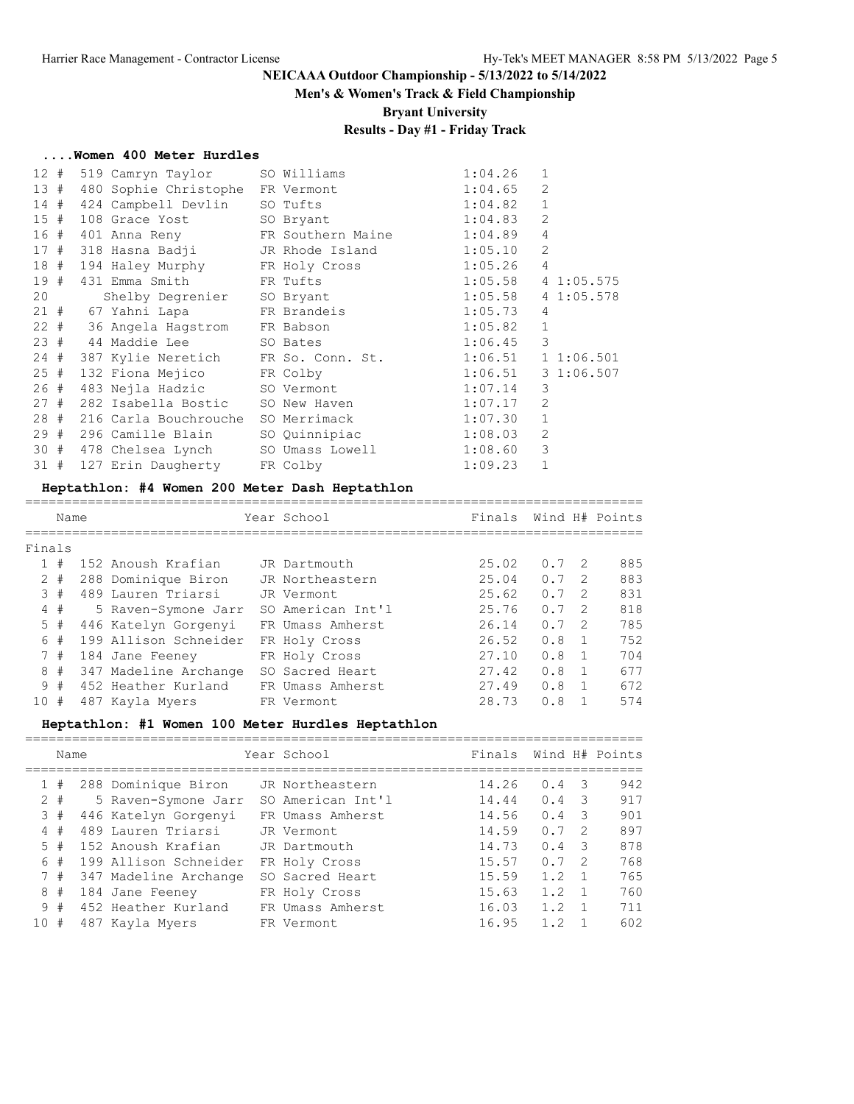#### **Men's & Women's Track & Field Championship**

**Bryant University**

## **Results - Day #1 - Friday Track**

#### **....Women 400 Meter Hurdles**

| 2<br>13#<br>480 Sophie Christophe FR Vermont<br>1:04.65<br>$\mathbf{1}$<br>1:04.82<br>14#<br>424 Campbell Devlin SO Tufts<br>1:04.83<br>2<br>15#<br>108 Grace Yost SO Bryant<br>4<br>16 # 401 Anna Reny FR Southern Maine 1:04.89<br>$\overline{2}$<br>1:05.10<br>17 # 318 Hasna Badji     JR Rhode Island<br>18#<br>1:05.26<br>$\overline{4}$<br>194 Haley Murphy FR Holy Cross<br>19 #<br>1:05.58<br>431 Emma Smith FR Tufts<br>41:05.575<br>1:05.58<br>20<br>41:05.578<br>Shelby Degrenier SO Bryant<br>21 # 67 Yahni Lapa FR Brandeis<br>1:05.73<br>$\overline{4}$<br>$\mathbf{1}$<br>22 # 36 Angela Hagstrom FR Babson<br>1:05.82<br>3<br>23 # 44 Maddie Lee SO Bates<br>1:06.45<br>24#<br>387 Kylie Neretich FR So. Conn. St.<br>1:06.51<br>11:06.501<br>31:06.507<br>25#<br>132 Fiona Mejico FR Colby<br>1:06.51<br>1:07.14<br>3<br>26#<br>483 Nejla Hadzic<br>SO Vermont<br>2<br>27#<br>1:07.17<br>282 Isabella Bostic<br>SO New Haven<br>$\mathbf{1}$<br>28#<br>1:07.30<br>216 Carla Bouchrouche SO Merrimack<br>296 Camille Blain SO Quinnipiac 1:08.03<br>$\overline{2}$<br>29#<br>3<br>30 # 478 Chelsea Lynch SO Umass Lowell<br>1:08.60<br>$\mathbf{1}$<br>31#<br>1:09.23<br>127 Erin Daugherty FR Colby | 12# | 519 Camryn Taylor | SO Williams | 1:04.26 | $\mathbf{1}$ |  |
|-----------------------------------------------------------------------------------------------------------------------------------------------------------------------------------------------------------------------------------------------------------------------------------------------------------------------------------------------------------------------------------------------------------------------------------------------------------------------------------------------------------------------------------------------------------------------------------------------------------------------------------------------------------------------------------------------------------------------------------------------------------------------------------------------------------------------------------------------------------------------------------------------------------------------------------------------------------------------------------------------------------------------------------------------------------------------------------------------------------------------------------------------------------------------------------------------------------------------|-----|-------------------|-------------|---------|--------------|--|
|                                                                                                                                                                                                                                                                                                                                                                                                                                                                                                                                                                                                                                                                                                                                                                                                                                                                                                                                                                                                                                                                                                                                                                                                                       |     |                   |             |         |              |  |
|                                                                                                                                                                                                                                                                                                                                                                                                                                                                                                                                                                                                                                                                                                                                                                                                                                                                                                                                                                                                                                                                                                                                                                                                                       |     |                   |             |         |              |  |
|                                                                                                                                                                                                                                                                                                                                                                                                                                                                                                                                                                                                                                                                                                                                                                                                                                                                                                                                                                                                                                                                                                                                                                                                                       |     |                   |             |         |              |  |
|                                                                                                                                                                                                                                                                                                                                                                                                                                                                                                                                                                                                                                                                                                                                                                                                                                                                                                                                                                                                                                                                                                                                                                                                                       |     |                   |             |         |              |  |
|                                                                                                                                                                                                                                                                                                                                                                                                                                                                                                                                                                                                                                                                                                                                                                                                                                                                                                                                                                                                                                                                                                                                                                                                                       |     |                   |             |         |              |  |
|                                                                                                                                                                                                                                                                                                                                                                                                                                                                                                                                                                                                                                                                                                                                                                                                                                                                                                                                                                                                                                                                                                                                                                                                                       |     |                   |             |         |              |  |
|                                                                                                                                                                                                                                                                                                                                                                                                                                                                                                                                                                                                                                                                                                                                                                                                                                                                                                                                                                                                                                                                                                                                                                                                                       |     |                   |             |         |              |  |
|                                                                                                                                                                                                                                                                                                                                                                                                                                                                                                                                                                                                                                                                                                                                                                                                                                                                                                                                                                                                                                                                                                                                                                                                                       |     |                   |             |         |              |  |
|                                                                                                                                                                                                                                                                                                                                                                                                                                                                                                                                                                                                                                                                                                                                                                                                                                                                                                                                                                                                                                                                                                                                                                                                                       |     |                   |             |         |              |  |
|                                                                                                                                                                                                                                                                                                                                                                                                                                                                                                                                                                                                                                                                                                                                                                                                                                                                                                                                                                                                                                                                                                                                                                                                                       |     |                   |             |         |              |  |
|                                                                                                                                                                                                                                                                                                                                                                                                                                                                                                                                                                                                                                                                                                                                                                                                                                                                                                                                                                                                                                                                                                                                                                                                                       |     |                   |             |         |              |  |
|                                                                                                                                                                                                                                                                                                                                                                                                                                                                                                                                                                                                                                                                                                                                                                                                                                                                                                                                                                                                                                                                                                                                                                                                                       |     |                   |             |         |              |  |
|                                                                                                                                                                                                                                                                                                                                                                                                                                                                                                                                                                                                                                                                                                                                                                                                                                                                                                                                                                                                                                                                                                                                                                                                                       |     |                   |             |         |              |  |
|                                                                                                                                                                                                                                                                                                                                                                                                                                                                                                                                                                                                                                                                                                                                                                                                                                                                                                                                                                                                                                                                                                                                                                                                                       |     |                   |             |         |              |  |
|                                                                                                                                                                                                                                                                                                                                                                                                                                                                                                                                                                                                                                                                                                                                                                                                                                                                                                                                                                                                                                                                                                                                                                                                                       |     |                   |             |         |              |  |
|                                                                                                                                                                                                                                                                                                                                                                                                                                                                                                                                                                                                                                                                                                                                                                                                                                                                                                                                                                                                                                                                                                                                                                                                                       |     |                   |             |         |              |  |
|                                                                                                                                                                                                                                                                                                                                                                                                                                                                                                                                                                                                                                                                                                                                                                                                                                                                                                                                                                                                                                                                                                                                                                                                                       |     |                   |             |         |              |  |
|                                                                                                                                                                                                                                                                                                                                                                                                                                                                                                                                                                                                                                                                                                                                                                                                                                                                                                                                                                                                                                                                                                                                                                                                                       |     |                   |             |         |              |  |
|                                                                                                                                                                                                                                                                                                                                                                                                                                                                                                                                                                                                                                                                                                                                                                                                                                                                                                                                                                                                                                                                                                                                                                                                                       |     |                   |             |         |              |  |

#### **Heptathlon: #4 Women 200 Meter Dash Heptathlon**

=============================================================================== Name The Year School Contract Finals Wind H# Points =============================================================================== Finals 1 # 152 Anoush Krafian JR Dartmouth 25.02 0.7 2 885 2 # 288 Dominique Biron JR Northeastern 25.04 0.7 2 883 3 # 489 Lauren Triarsi JR Vermont 25.62 0.7 2 831 4 # 5 Raven-Symone Jarr SO American Int'l 25.76 0.7 2 818 5 # 446 Katelyn Gorgenyi FR Umass Amherst 26.14 0.7 2 785 6 # 199 Allison Schneider FR Holy Cross 26.52 0.8 1 752 7 # 184 Jane Feeney FR Holy Cross 27.10 0.8 1 704 8 # 347 Madeline Archange SO Sacred Heart 27.42 0.8 1 677 9 # 452 Heather Kurland FR Umass Amherst 27.49 0.8 1 672 10 # 487 Kayla Myers FR Vermont 28.73 0.8 1 574

## **Heptathlon: #1 Women 100 Meter Hurdles Heptathlon**

|       | Name |                       | Year School       | Finals |     |     | Wind H# Points |
|-------|------|-----------------------|-------------------|--------|-----|-----|----------------|
|       | #    | 288 Dominique Biron   | JR Northeastern   | 14.26  | 0.4 | - 3 | 942            |
| $2 +$ |      | 5 Raven-Symone Jarr   | SO American Int'l | 14.44  | 0.4 | -3  | 917            |
| 3     | #    | 446 Katelyn Gorgenyi  | FR Umass Amherst  | 14.56  | 0.4 | 3   | 901            |
| 4     | #    | 489 Lauren Triarsi    | JR Vermont        | 14.59  | 0.7 | 2   | 897            |
| 5     | #    | 152 Anoush Krafian    | JR Dartmouth      | 14.73  | 0.4 | -3  | 878            |
| 6#    |      | 199 Allison Schneider | FR Holy Cross     | 15.57  | 0.7 | - 2 | 768            |
| 7#    |      | 347 Madeline Archange | SO Sacred Heart   | 15.59  | 1.2 |     | 765            |
| 8     | #    | 184 Jane Feeney       | FR Holy Cross     | 15.63  | 1.2 |     | 760            |
|       | 9#   | 452 Heather Kurland   | FR Umass Amherst  | 16.03  | 1.2 |     | 711            |
| 10    | #    | 487 Kayla Myers       | FR Vermont        | 16.95  | 1.2 |     | 602            |
|       |      |                       |                   |        |     |     |                |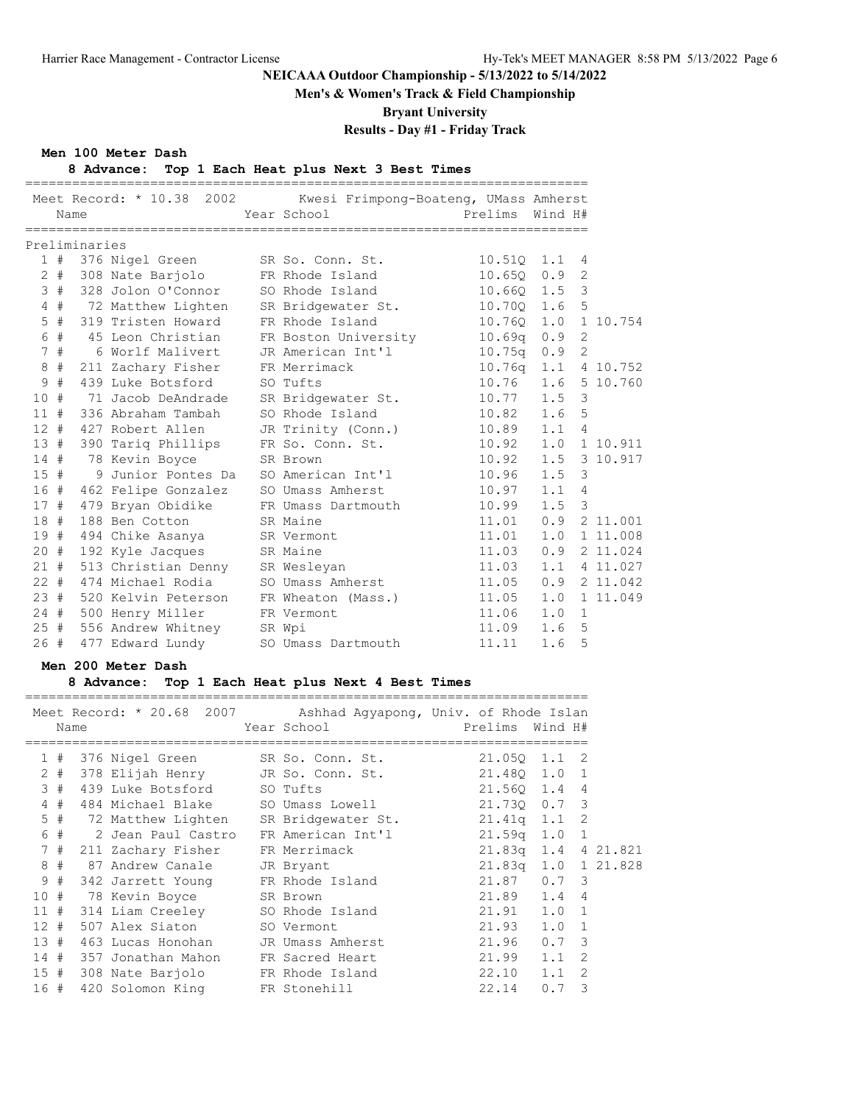**Men's & Women's Track & Field Championship**

**Bryant University**

# **Results - Day #1 - Friday Track**

## **Men 100 Meter Dash**

## **8 Advance: Top 1 Each Heat plus Next 3 Best Times**

|     |                                      |                                                                                                      |                                                                                                                                                                                                                                                                                                 |                                                                                                         |                                                                                                                                                                                                                                                                                                                                                                                                                                                                                                                                                                                                                     |                                            | 1 10.754                                                                                                                                                                                                                                                                                                                                                                                                                                                                                                                                                                                                  |
|-----|--------------------------------------|------------------------------------------------------------------------------------------------------|-------------------------------------------------------------------------------------------------------------------------------------------------------------------------------------------------------------------------------------------------------------------------------------------------|---------------------------------------------------------------------------------------------------------|---------------------------------------------------------------------------------------------------------------------------------------------------------------------------------------------------------------------------------------------------------------------------------------------------------------------------------------------------------------------------------------------------------------------------------------------------------------------------------------------------------------------------------------------------------------------------------------------------------------------|--------------------------------------------|-----------------------------------------------------------------------------------------------------------------------------------------------------------------------------------------------------------------------------------------------------------------------------------------------------------------------------------------------------------------------------------------------------------------------------------------------------------------------------------------------------------------------------------------------------------------------------------------------------------|
|     |                                      |                                                                                                      |                                                                                                                                                                                                                                                                                                 |                                                                                                         |                                                                                                                                                                                                                                                                                                                                                                                                                                                                                                                                                                                                                     |                                            |                                                                                                                                                                                                                                                                                                                                                                                                                                                                                                                                                                                                           |
|     |                                      |                                                                                                      |                                                                                                                                                                                                                                                                                                 |                                                                                                         |                                                                                                                                                                                                                                                                                                                                                                                                                                                                                                                                                                                                                     |                                            |                                                                                                                                                                                                                                                                                                                                                                                                                                                                                                                                                                                                           |
|     |                                      |                                                                                                      |                                                                                                                                                                                                                                                                                                 |                                                                                                         |                                                                                                                                                                                                                                                                                                                                                                                                                                                                                                                                                                                                                     |                                            |                                                                                                                                                                                                                                                                                                                                                                                                                                                                                                                                                                                                           |
|     |                                      |                                                                                                      |                                                                                                                                                                                                                                                                                                 |                                                                                                         |                                                                                                                                                                                                                                                                                                                                                                                                                                                                                                                                                                                                                     |                                            | 5 10.760                                                                                                                                                                                                                                                                                                                                                                                                                                                                                                                                                                                                  |
|     |                                      |                                                                                                      |                                                                                                                                                                                                                                                                                                 |                                                                                                         |                                                                                                                                                                                                                                                                                                                                                                                                                                                                                                                                                                                                                     |                                            |                                                                                                                                                                                                                                                                                                                                                                                                                                                                                                                                                                                                           |
|     |                                      |                                                                                                      |                                                                                                                                                                                                                                                                                                 |                                                                                                         |                                                                                                                                                                                                                                                                                                                                                                                                                                                                                                                                                                                                                     |                                            |                                                                                                                                                                                                                                                                                                                                                                                                                                                                                                                                                                                                           |
|     |                                      |                                                                                                      |                                                                                                                                                                                                                                                                                                 |                                                                                                         |                                                                                                                                                                                                                                                                                                                                                                                                                                                                                                                                                                                                                     |                                            |                                                                                                                                                                                                                                                                                                                                                                                                                                                                                                                                                                                                           |
|     |                                      |                                                                                                      |                                                                                                                                                                                                                                                                                                 |                                                                                                         |                                                                                                                                                                                                                                                                                                                                                                                                                                                                                                                                                                                                                     |                                            | 1 10.911                                                                                                                                                                                                                                                                                                                                                                                                                                                                                                                                                                                                  |
|     |                                      |                                                                                                      |                                                                                                                                                                                                                                                                                                 |                                                                                                         |                                                                                                                                                                                                                                                                                                                                                                                                                                                                                                                                                                                                                     |                                            | 3 10.917                                                                                                                                                                                                                                                                                                                                                                                                                                                                                                                                                                                                  |
|     |                                      |                                                                                                      |                                                                                                                                                                                                                                                                                                 |                                                                                                         |                                                                                                                                                                                                                                                                                                                                                                                                                                                                                                                                                                                                                     |                                            |                                                                                                                                                                                                                                                                                                                                                                                                                                                                                                                                                                                                           |
|     |                                      |                                                                                                      |                                                                                                                                                                                                                                                                                                 |                                                                                                         |                                                                                                                                                                                                                                                                                                                                                                                                                                                                                                                                                                                                                     |                                            |                                                                                                                                                                                                                                                                                                                                                                                                                                                                                                                                                                                                           |
|     |                                      |                                                                                                      |                                                                                                                                                                                                                                                                                                 |                                                                                                         |                                                                                                                                                                                                                                                                                                                                                                                                                                                                                                                                                                                                                     |                                            |                                                                                                                                                                                                                                                                                                                                                                                                                                                                                                                                                                                                           |
|     |                                      |                                                                                                      |                                                                                                                                                                                                                                                                                                 |                                                                                                         |                                                                                                                                                                                                                                                                                                                                                                                                                                                                                                                                                                                                                     |                                            | 2 11.001                                                                                                                                                                                                                                                                                                                                                                                                                                                                                                                                                                                                  |
| 19# |                                      |                                                                                                      |                                                                                                                                                                                                                                                                                                 |                                                                                                         |                                                                                                                                                                                                                                                                                                                                                                                                                                                                                                                                                                                                                     | 1.0                                        | 1 11.008                                                                                                                                                                                                                                                                                                                                                                                                                                                                                                                                                                                                  |
|     |                                      |                                                                                                      |                                                                                                                                                                                                                                                                                                 |                                                                                                         |                                                                                                                                                                                                                                                                                                                                                                                                                                                                                                                                                                                                                     | 0.9                                        | 2 11.024                                                                                                                                                                                                                                                                                                                                                                                                                                                                                                                                                                                                  |
| 21# |                                      |                                                                                                      |                                                                                                                                                                                                                                                                                                 |                                                                                                         |                                                                                                                                                                                                                                                                                                                                                                                                                                                                                                                                                                                                                     |                                            | 1.1 4 11.027                                                                                                                                                                                                                                                                                                                                                                                                                                                                                                                                                                                              |
|     |                                      |                                                                                                      |                                                                                                                                                                                                                                                                                                 |                                                                                                         |                                                                                                                                                                                                                                                                                                                                                                                                                                                                                                                                                                                                                     |                                            |                                                                                                                                                                                                                                                                                                                                                                                                                                                                                                                                                                                                           |
| 23# |                                      |                                                                                                      |                                                                                                                                                                                                                                                                                                 |                                                                                                         |                                                                                                                                                                                                                                                                                                                                                                                                                                                                                                                                                                                                                     | 1.0                                        | 1 11.049                                                                                                                                                                                                                                                                                                                                                                                                                                                                                                                                                                                                  |
|     |                                      |                                                                                                      |                                                                                                                                                                                                                                                                                                 |                                                                                                         |                                                                                                                                                                                                                                                                                                                                                                                                                                                                                                                                                                                                                     | 1.0                                        |                                                                                                                                                                                                                                                                                                                                                                                                                                                                                                                                                                                                           |
|     |                                      |                                                                                                      |                                                                                                                                                                                                                                                                                                 |                                                                                                         |                                                                                                                                                                                                                                                                                                                                                                                                                                                                                                                                                                                                                     | 1.6                                        |                                                                                                                                                                                                                                                                                                                                                                                                                                                                                                                                                                                                           |
| 26# |                                      |                                                                                                      |                                                                                                                                                                                                                                                                                                 |                                                                                                         | 11.11                                                                                                                                                                                                                                                                                                                                                                                                                                                                                                                                                                                                               | 1.6                                        |                                                                                                                                                                                                                                                                                                                                                                                                                                                                                                                                                                                                           |
|     | 7#<br>9<br>#<br>10#<br>11#<br>$12 +$ | Name<br>$2 +$<br>4#<br>$5$ #<br>6 #<br>8#<br>13#<br>14#<br>15#<br>16#<br>17#<br>18#<br>$20 +$<br>25# | Preliminaries<br>72 Matthew Lighten<br>45 Leon Christian<br>211 Zachary Fisher<br>439 Luke Botsford<br>71 Jacob DeAndrade<br>336 Abraham Tambah<br>427 Robert Allen<br>390 Tariq Phillips<br>78 Kevin Boyce<br>479 Bryan Obidike<br>188 Ben Cotton<br>192 Kyle Jacques<br>24 # 500 Henry Miller | 319 Tristen Howard<br>6 Worlf Malivert<br>9 Junior Pontes Da<br>462 Felipe Gonzalez<br>477 Edward Lundy | Year School<br>1 # 376 Nigel Green SR So. Conn. St.<br>308 Nate Barjolo FR Rhode Island<br>3 # 328 Jolon O'Connor SO Rhode Island<br>FR Rhode Island<br>JR American Int'l<br>FR Merrimack<br>SO Tufts<br>SR Bridgewater St.<br>SO Rhode Island<br>JR Trinity (Conn.)<br>FR So. Conn. St.<br>SR Brown<br>SO American Int'l<br>SO Umass Amherst<br>FR Umass Dartmouth<br>SR Maine<br>494 Chike Asanya SR Vermont<br>SR Maine<br>513 Christian Denny SR Wesleyan<br>22 # 474 Michael Rodia SO Umass Amherst<br>520 Kelvin Peterson FR Wheaton (Mass.)<br>FR Vermont<br>556 Andrew Whitney SR Wpi<br>SO Umass Dartmouth | SR Bridgewater St.<br>FR Boston University | Meet Record: * 10.38 2002 Kwesi Frimpong-Boateng, UMass Amherst<br>Prelims Wind H#<br>$10.510$ $1.1$<br>$\overline{4}$<br>$10.650$ $0.9$<br>$\overline{2}$<br>10.660 1.5 3<br>5<br>10.700 1.6<br>$10.76Q$ $1.0$<br>10.69q 0.9<br>2<br>$10.75q$ $0.9$<br>2<br>10.76g 1.1 4 10.752<br>$10.76$ 1.6<br>$\mathcal{E}$<br>$10.77$ 1.5<br>$10.82$ 1.6<br>5<br>$10.89$ $1.1$ 4<br>10.92 1.0<br>10.92<br>1.5<br>1.5<br>10.96<br>3<br>$10.97$ $1.1$<br>$\overline{4}$<br>3<br>1.5<br>10.99<br>11.01<br>0.9<br>11.01<br>11.03<br>11.03<br>11.05  0.9  2  11.042<br>11.05<br>11.06<br>$\mathbf{1}$<br>11.09<br>5<br>5 |

## **Men 200 Meter Dash**

## **8 Advance: Top 1 Each Heat plus Next 4 Best Times**

|                |       |      |                                        | Meet Record: * 20.68 2007 Ashhad Agyapong, Univ. of Rhode Islan |                |                     |          |
|----------------|-------|------|----------------------------------------|-----------------------------------------------------------------|----------------|---------------------|----------|
|                |       | Name |                                        | Year School                                                     | Prelims        | Wind H#             |          |
|                | 1#    |      |                                        | 376 Nigel Green SR So. Conn. St.                                | 21.050         | -2<br>1.1           |          |
|                | $2 +$ |      |                                        | 378 Elijah Henry JR So. Conn. St.                               | 21.480 1.0     | 1                   |          |
|                | 3#    |      | 439 Luke Botsford SO Tufts             |                                                                 | 21.560 1.4     | $\overline{4}$      |          |
| $\overline{4}$ | #     |      |                                        | 484 Michael Blake SO Umass Lowell                               |                | 21.730 0.7 3        |          |
|                |       |      |                                        | 5 # 72 Matthew Lighten SR Bridgewater St. 21.41q 1.1            |                | 2                   |          |
| 6              | #     |      | 2 Jean Paul Castro                     | FR American Int'l                                               | $21.59q$ $1.0$ | $\mathbf{1}$        |          |
| 7              | #     |      | 211 Zachary Fisher FR Merrimack        |                                                                 | $21.83q$ $1.4$ |                     | 4 21.821 |
| 8              | #     |      | 87 Andrew Canale JR Bryant             |                                                                 |                | 21.83q 1.0 1 21.828 |          |
| 9              | #     |      | 342 Jarrett Young FR Rhode Island      |                                                                 | 21.87 0.7 3    |                     |          |
| 10#            |       |      | 78 Kevin Boyce         SR Brown        |                                                                 | 21.89 1.4      | $\overline{4}$      |          |
| 11#            |       |      | 314 Liam Creeley SO Rhode Island       |                                                                 | 21.91          | 1.0<br>1            |          |
| 12#            |       |      | 507 Alex Siaton 50 Vermont             |                                                                 | 21.93          | 1.0<br>$\mathbf{1}$ |          |
| 13#            |       |      | 463 Lucas Honohan     JR Umass Amherst |                                                                 | 21.96          | 0.7<br>3            |          |
| 14#            |       |      | 357 Jonathan Mahon                     | FR Sacred Heart                                                 | 21.99          | 1.1<br>2            |          |
| 15#            |       |      | 308 Nate Barjolo                       | FR Rhode Island                                                 | 22.10          | 2<br>1.1            |          |
| 16#            |       |      | 420 Solomon King FR Stonehill          |                                                                 | 22.14          | 3<br>0.7            |          |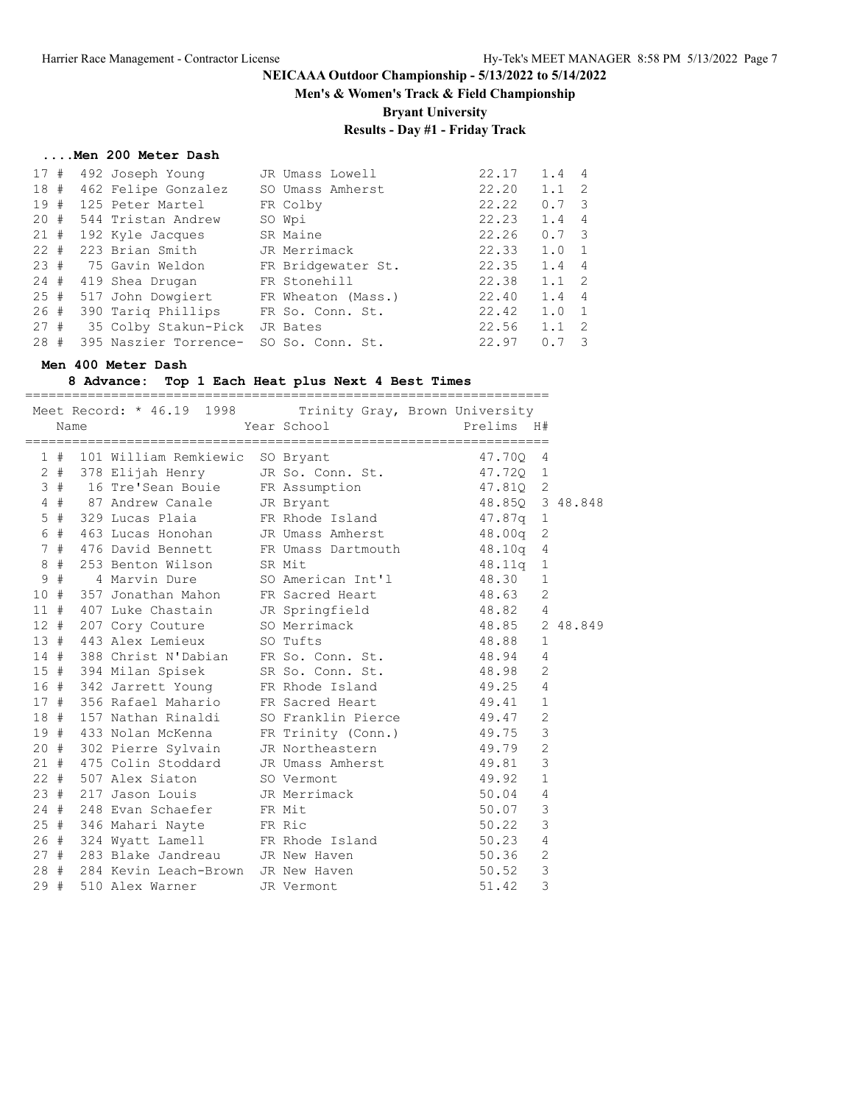**Men's & Women's Track & Field Championship**

**Bryant University**

# **Results - Day #1 - Friday Track**

#### **....Men 200 Meter Dash**

| 17#    | 492 Joseph Young              | JR Umass Lowell    | 22.17 | 1.4           | $\overline{4}$ |
|--------|-------------------------------|--------------------|-------|---------------|----------------|
| 18#    | 462 Felipe Gonzalez           | SO Umass Amherst   | 22.20 | 1.1           | - 2            |
| 19#    | 125 Peter Martel              | FR Colby           | 22.22 | 0.7           | - 3            |
| 20#    | 544 Tristan Andrew            | SO Wpi             | 22.23 | 1.4           | $\overline{4}$ |
| 21#    | 192 Kyle Jacques              | SR Maine           | 22.26 | $0.7 \quad 3$ |                |
| $22 +$ | 223 Brian Smith               | JR Merrimack       | 22.33 | 1.0           |                |
| 23#    | 75 Gavin Weldon               | FR Bridgewater St. | 22.35 | 1.4           | $\overline{4}$ |
| 24#    | 419 Shea Drugan               | FR Stonehill       | 22.38 | 1.1           | $\overline{2}$ |
| 25#    | 517 John Dowgiert             | FR Wheaton (Mass.) | 22.40 | 1.4           | $\overline{4}$ |
| 26#    | 390 Tariq Phillips            | FR So. Conn. St.   | 22.42 | 1.0           | $\overline{1}$ |
| 27#    | 35 Colby Stakun-Pick JR Bates |                    | 22.56 | 1.1           | -2             |
| 28#    | 395 Naszier Torrence-         | SO So. Conn. St.   | 22.97 | 0.7           |                |

#### **Men 400 Meter Dash**

#### **8 Advance: Top 1 Each Heat plus Next 4 Best Times**

|     | Name |                                         | Meet Record: * 46.19 1998 Trinity Gray, Brown University<br>Year School <a> Prelims H#</a>                                                                                                                                          |                        |                |  |
|-----|------|-----------------------------------------|-------------------------------------------------------------------------------------------------------------------------------------------------------------------------------------------------------------------------------------|------------------------|----------------|--|
|     |      | 1 # 101 William Remkiewic SO Bryant     |                                                                                                                                                                                                                                     | 47.70Q 4               |                |  |
|     |      |                                         | 2 # 378 Elijah Henry JR So. Conn. St. 47.720 1                                                                                                                                                                                      |                        |                |  |
|     |      |                                         | 3 # 16 Tre'Sean Bouie 5 FR Assumption 47.810 2<br>4 # 87 Andrew Canale 5 JR Bryant 48.850 3 48.848                                                                                                                                  |                        |                |  |
|     |      |                                         |                                                                                                                                                                                                                                     |                        |                |  |
|     |      |                                         | 5 # 329 Lucas Plaia FR Rhode Island 47.87q 1                                                                                                                                                                                        |                        |                |  |
|     |      |                                         | 6 # 463 Lucas Honohan JR Umass Amherst 18.00q 2<br>7 # 476 David Bennett FR Umass Dartmouth 18.10q 4                                                                                                                                |                        |                |  |
|     |      |                                         |                                                                                                                                                                                                                                     |                        |                |  |
|     |      | 8 # 253 Benton Wilson SR Mit            |                                                                                                                                                                                                                                     | 48.11q 1               |                |  |
|     | 9#   |                                         | 4 Marvin Dure SO American Int'l 48.30 1                                                                                                                                                                                             |                        |                |  |
|     |      | 10 # 357 Jonathan Mahon                 | FR Sacred Heart 48.63                                                                                                                                                                                                               |                        | 2              |  |
|     |      |                                         | 11 # 407 Luke Chastain JR Springfield 68.82 4                                                                                                                                                                                       |                        |                |  |
|     |      |                                         |                                                                                                                                                                                                                                     |                        |                |  |
|     |      |                                         | 11 # 407 Bund chapter<br>12 # 207 Cory Couture 50 Merrimack 48.85 2 48.849<br>13 # 443 Alex Lemieux 50 Tufts 48.88 1                                                                                                                |                        |                |  |
|     |      |                                         | 14 # 388 Christ N'Dabian FR So. Conn. St. 48.94                                                                                                                                                                                     |                        | $\overline{4}$ |  |
|     |      |                                         | 15 # 394 Milan Spisek SR So. Conn. St.                                                                                                                                                                                              | 48.98                  | 2              |  |
|     |      |                                         | 16 # 342 Jarrett Young FR Rhode Island 49.25                                                                                                                                                                                        |                        | $\overline{4}$ |  |
|     |      |                                         | 17 # 356 Rafael Mahario FR Sacred Heart 49.41 1                                                                                                                                                                                     |                        |                |  |
|     |      |                                         | 18 # 157 Nathan Rinaldi SO Franklin Pierce 49.47 2                                                                                                                                                                                  |                        |                |  |
|     |      | 19 # 433 Nolan McKenna                  | FR Trinity (Conn.) 49.75                                                                                                                                                                                                            |                        | 3              |  |
|     |      | 20 # 302 Pierre Sylvain                 | JR Northeastern 49.79                                                                                                                                                                                                               |                        | $\overline{c}$ |  |
|     |      | 21 # 475 Colin Stoddard                 | JR Umass Amherst 49.81                                                                                                                                                                                                              |                        | $\mathcal{S}$  |  |
|     |      |                                         | 19.92 = 1 507 Alex Siaton<br>23 # 217 Jason Louis 19.92 = 1<br>24 # 248 Evan Schaefer 19.91 = 17.92 = 17.92 = 17.92 = 17.92 = 17.92 = 17.92 = 17.92 = 17.92 = 17.92 = 17.92<br>24 # 248 Evan Schaefer 19.92 = 17.93 = 17.92 = 17.92 |                        |                |  |
|     |      |                                         |                                                                                                                                                                                                                                     |                        |                |  |
|     |      |                                         |                                                                                                                                                                                                                                     |                        |                |  |
|     |      | 25 # 346 Mahari Nayte FR Ric            |                                                                                                                                                                                                                                     | 50.22                  | 3              |  |
|     |      |                                         | 26 # 324 Wyatt Lamell FR Rhode Island 50.23                                                                                                                                                                                         |                        | $\overline{4}$ |  |
|     |      | 27 # 283 Blake Jandreau JR New Haven    |                                                                                                                                                                                                                                     | 50.36                  | 2              |  |
|     |      | 28 # 284 Kevin Leach-Brown JR New Haven |                                                                                                                                                                                                                                     | $50.52$ 3<br>$51.42$ 3 |                |  |
| 29# |      | 510 Alex Warner                         | JR Vermont                                                                                                                                                                                                                          |                        |                |  |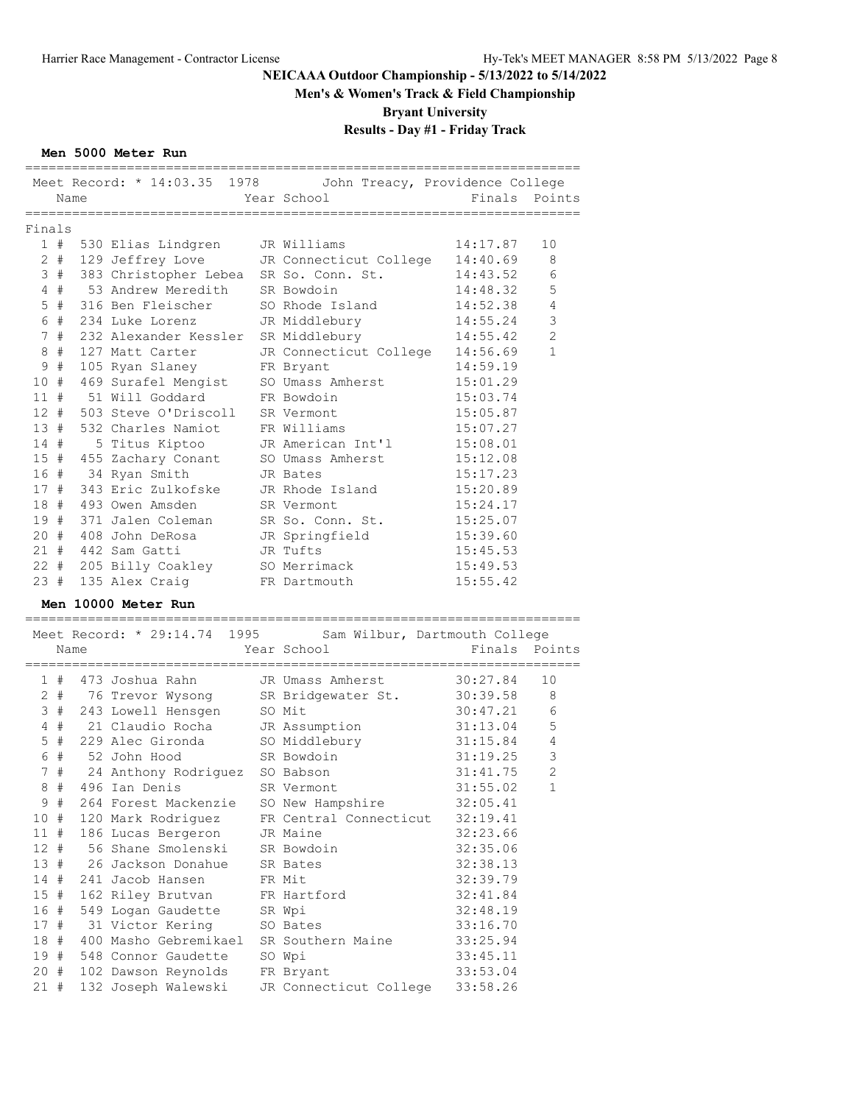## **Men's & Women's Track & Field Championship**

**Bryant University**

# **Results - Day #1 - Friday Track**

### **Men 5000 Meter Run**

|            |      | Meet Record: * 14:03.35 1978               | John Treacy, Providence College                            |                      |                |  |
|------------|------|--------------------------------------------|------------------------------------------------------------|----------------------|----------------|--|
| Name       |      |                                            | Year School                                                | Finals Points        |                |  |
|            |      | .=====================                     | =========================                                  | =================    |                |  |
| Finals     |      |                                            |                                                            |                      |                |  |
| 1#         |      | 530 Elias Lindgren                         | JR Williams                                                | 14:17.87             | 10             |  |
|            |      | 2 # 129 Jeffrey Love                       | JR Connecticut College 14:40.69                            |                      | 8              |  |
| 3#         |      | 383 Christopher Lebea                      | SR So. Conn. St.                                           | 14:43.52             | 6              |  |
| 4#         |      | 53 Andrew Meredith                         | SR Bowdoin                                                 | 14:48.32             | 5              |  |
| $5$ #      |      | 316 Ben Fleischer                          | SO Rhode Island                                            | 14:52.38             | $\overline{4}$ |  |
| 6 #        |      | 234 Luke Lorenz                            | JR Middlebury                                              | 14:55.24             | $\mathsf 3$    |  |
| 7#         |      | 232 Alexander Kessler                      | SR Middlebury                                              | 14:55.42             | $\mathbf{2}$   |  |
| 8#         |      | 127 Matt Carter                            | JR Connecticut College 14:56.69                            |                      | 1              |  |
| 9#         |      | 105 Ryan Slaney                            | FR Bryant                                                  | 14:59.19             |                |  |
| 10#        |      | 469 Surafel Mengist                        | SO Umass Amherst                                           | 15:01.29             |                |  |
| 11#        |      | 51 Will Goddard                            | FR Bowdoin                                                 | 15:03.74             |                |  |
| $12 +$     |      | 503 Steve O'Driscoll                       | SR Vermont                                                 | 15:05.87             |                |  |
| 13#        |      | 532 Charles Namiot                         | FR Williams                                                | 15:07.27             |                |  |
| 14#        |      | 5 Titus Kiptoo                             | JR American Int'l                                          | 15:08.01             |                |  |
| 15#        |      | 455 Zachary Conant                         | SO Umass Amherst                                           | 15:12.08             |                |  |
| 16 #       |      | 34 Ryan Smith                              | JR Bates                                                   | 15:17.23             |                |  |
| 17#        |      | 343 Eric Zulkofske                         | JR Rhode Island                                            | 15:20.89             |                |  |
| 18#        |      | 493 Owen Amsden                            | SR Vermont                                                 | 15:24.17             |                |  |
| 19#        |      | 371 Jalen Coleman                          | SR So. Conn. St.                                           | 15:25.07             |                |  |
| 20#        |      | 408 John DeRosa                            | JR Springfield                                             | 15:39.60             |                |  |
|            |      | 21 # 442 Sam Gatti                         | JR Tufts                                                   | 15:45.53             |                |  |
|            |      | 22 # 205 Billy Coakley                     | SO Merrimack                                               | 15:49.53             |                |  |
|            |      | 135 Alex Craig                             | FR Dartmouth                                               | 15:55.42             |                |  |
|            |      |                                            |                                                            |                      |                |  |
| 23 #       |      |                                            |                                                            |                      |                |  |
|            |      | Men 10000 Meter Run                        |                                                            |                      |                |  |
|            |      |                                            |                                                            |                      |                |  |
|            |      |                                            | Meet Record: * 29:14.74 1995 Sam Wilbur, Dartmouth College |                      |                |  |
|            | Name |                                            | Year School                                                | Finals Points        |                |  |
|            |      |                                            |                                                            |                      |                |  |
| 1#         |      | 473 Joshua Rahn                            | JR Umass Amherst                                           | 30:27.84             | 10             |  |
|            |      |                                            | 2 # 76 Trevor Wysong SR Bridgewater St. 30:39.58           |                      | 8              |  |
| 3#         |      | 243 Lowell Hensgen                         | SO Mit                                                     | 30:47.21             | 6              |  |
| 4#         |      | 21 Claudio Rocha                           | JR Assumption                                              | 31:13.04             | 5              |  |
| $5$ #      |      | 229 Alec Gironda                           | SO Middlebury                                              | 31:15.84             | 4              |  |
| 6#         |      | 52 John Hood                               | SR Bowdoin                                                 | 31:19.25             | $\mathsf 3$    |  |
|            |      | 7 # 24 Anthony Rodriguez SO Babson         |                                                            | 31:41.75             | 2              |  |
| 8#         |      | 496 Ian Denis                              | SR Vermont                                                 | 31:55.02             | 1              |  |
|            |      | 9 # 264 Forest Mackenzie SO New Hampshire  |                                                            | 32:05.41             |                |  |
| 10 #       |      | 120 Mark Rodriguez                         | FR Central Connecticut                                     | 32:19.41             |                |  |
| 11#        |      | 186 Lucas Bergeron                         | JR Maine                                                   | 32:23.66             |                |  |
| $12 +$     |      | 56 Shane Smolenski                         | SR Bowdoin                                                 | 32:35.06             |                |  |
| 13#        |      | 26 Jackson Donahue                         | SR Bates                                                   | 32:38.13             |                |  |
| 14#        |      | 241 Jacob Hansen                           | FR Mit                                                     | 32:39.79             |                |  |
| 15#        |      | 162 Riley Brutvan                          | FR Hartford                                                | 32:41.84             |                |  |
| 16 #       |      | 549 Logan Gaudette                         | SR Wpi                                                     | 32:48.19             |                |  |
| 17#        |      | 31 Victor Kering                           | SO Bates                                                   | 33:16.70             |                |  |
| 18 #       |      | 400 Masho Gebremikael                      | SR Southern Maine                                          | 33:25.94             |                |  |
| 19 #       |      | 548 Connor Gaudette                        | SO Wpi                                                     | 33:45.11             |                |  |
| 20#<br>21# |      | 102 Dawson Reynolds<br>132 Joseph Walewski | FR Bryant<br>JR Connecticut College                        | 33:53.04<br>33:58.26 |                |  |

=======================================================================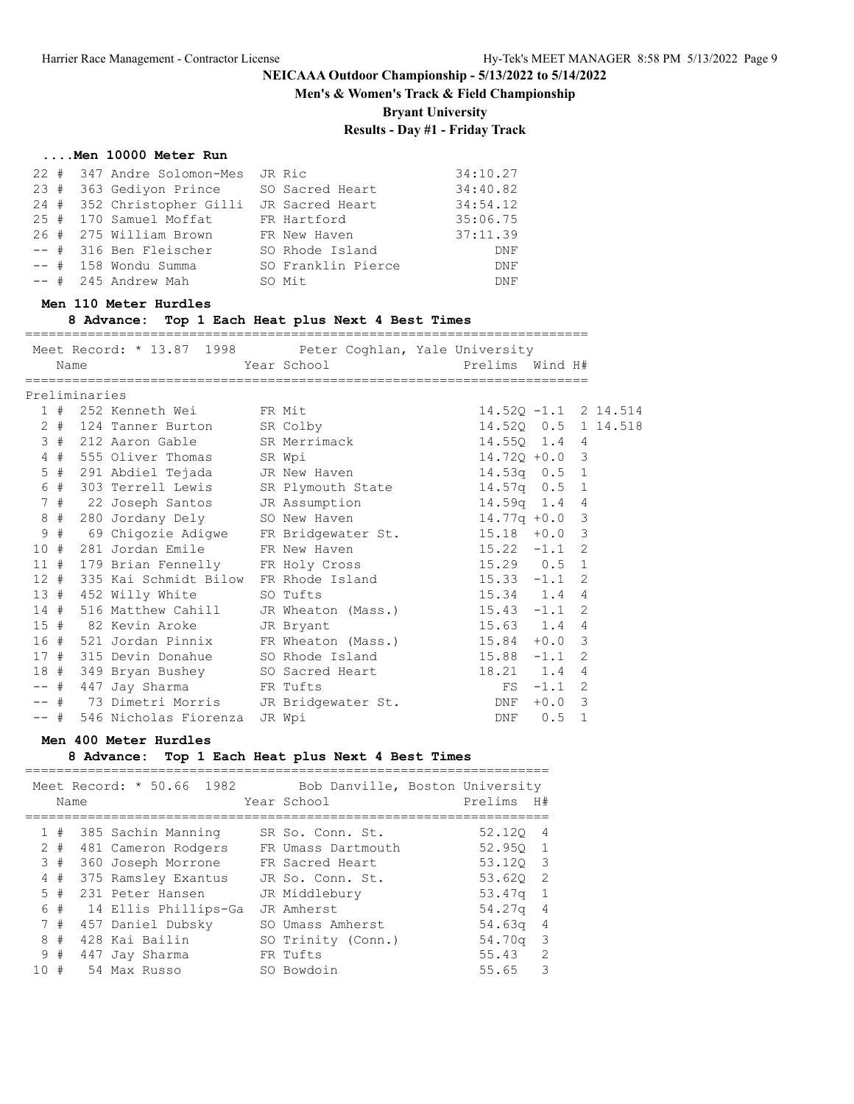**Men's & Women's Track & Field Championship**

**Bryant University**

## **Results - Day #1 - Friday Track**

#### **....Men 10000 Meter Run**

|  | 22 # 347 Andre Solomon-Mes JR Ric |                    | 34:10.27 |
|--|-----------------------------------|--------------------|----------|
|  | 23 # 363 Gediyon Prince           | SO Sacred Heart    | 34:40.82 |
|  | 24 # 352 Christopher Gilli        | JR Sacred Heart    | 34:54.12 |
|  | 25 # 170 Samuel Moffat            | FR Hartford        | 35:06.75 |
|  | 26 # 275 William Brown            | FR New Haven       | 37:11.39 |
|  | -- # 316 Ben Fleischer            | SO Rhode Island    | DNF      |
|  | $--$ # 158 Wondu Summa            | SO Franklin Pierce | DNF      |
|  | -- # 245 Andrew Mah               | SO Mit             | DNF      |

#### **Men 110 Meter Hurdles**

**8 Advance: Top 1 Each Heat plus Next 4 Best Times**

========================================================================

Meet Record: \* 13.87 1998 Peter Coghlan, Yale University Name  $Year School$  Prelims Wind H# ======================================================================== Preliminaries 1 # 252 Kenneth Wei FR Mit 14.52Q -1.1 2 14.514 2 # 124 Tanner Burton SR Colby 14.52Q 0.5 1 14.518 3 # 212 Aaron Gable SR Merrimack 14.55Q 1.4 4 4 # 555 Oliver Thomas SR Wpi 14.72Q +0.0 3 5 # 291 Abdiel Tejada JR New Haven 14.53q 0.5 1 6 # 303 Terrell Lewis SR Plymouth State 14.57q 0.5 1 7 # 22 Joseph Santos JR Assumption 14.59q 1.4 4 8 # 280 Jordany Dely SO New Haven 14.77q +0.0 3 9 # 69 Chigozie Adigwe FR Bridgewater St. 15.18 +0.0 3 10 # 281 Jordan Emile FR New Haven 15.22 -1.1 2 11 # 179 Brian Fennelly FR Holy Cross 15.29 0.5 1 12 # 335 Kai Schmidt Bilow FR Rhode Island 15.33 -1.1 2 13 # 452 Willy White SO Tufts 15.34 1.4 4 14 # 516 Matthew Cahill JR Wheaton (Mass.) 15.43 -1.1 2 15 # 82 Kevin Aroke JR Bryant 15.63 1.4 4 16 # 521 Jordan Pinnix FR Wheaton (Mass.) 15.84 +0.0 3 17 # 315 Devin Donahue SO Rhode Island 15.88 -1.1 2 18 # 349 Bryan Bushey SO Sacred Heart 18.21 1.4 4 -- # 447 Jay Sharma FR Tufts FS -1.1 2 -- # 73 Dimetri Morris JR Bridgewater St. DNF +0.0 3 -- # 546 Nicholas Fiorenza JR Wpi DNF 0.5 1

#### **Men 400 Meter Hurdles**

#### **8 Advance: Top 1 Each Heat plus Next 4 Best Times**

|              |       | Name | Meet Record: * 50.66 1982 | Bob Danville, Boston University<br>Year School | Prelims  | H#             |
|--------------|-------|------|---------------------------|------------------------------------------------|----------|----------------|
| $\mathbf{1}$ | #     |      | 385 Sachin Manning        | SR So. Conn. St.                               | 52.120   | $\overline{4}$ |
|              | $2 +$ |      | 481 Cameron Rodgers       | FR Umass Dartmouth                             | 52.950 1 |                |
|              | 3#    |      | 360 Joseph Morrone        | FR Sacred Heart                                | 53.120 3 |                |
|              | 4#    |      | 375 Ramsley Exantus       | JR So. Conn. St.                               | 53.620 2 |                |
|              | 5#    |      | 231 Peter Hansen          | JR Middlebury                                  | 53.47q   | 1              |
| 6            | #     |      | 14 Ellis Phillips-Ga      | JR Amherst                                     | 54.27g   | -4             |
|              | 7#    |      | 457 Daniel Dubsky         | SO Umass Amherst                               | 54.63q   | -4             |
| 8            | #     |      | 428 Kai Bailin            | SO Trinity (Conn.)                             | 54.70g   | - 3            |
| 9            | #     |      | 447 Jay Sharma            | FR Tufts                                       | 55.43    | 2              |
| 10           | #     |      | 54 Max Russo              | SO Bowdoin                                     | 55.65    | 3              |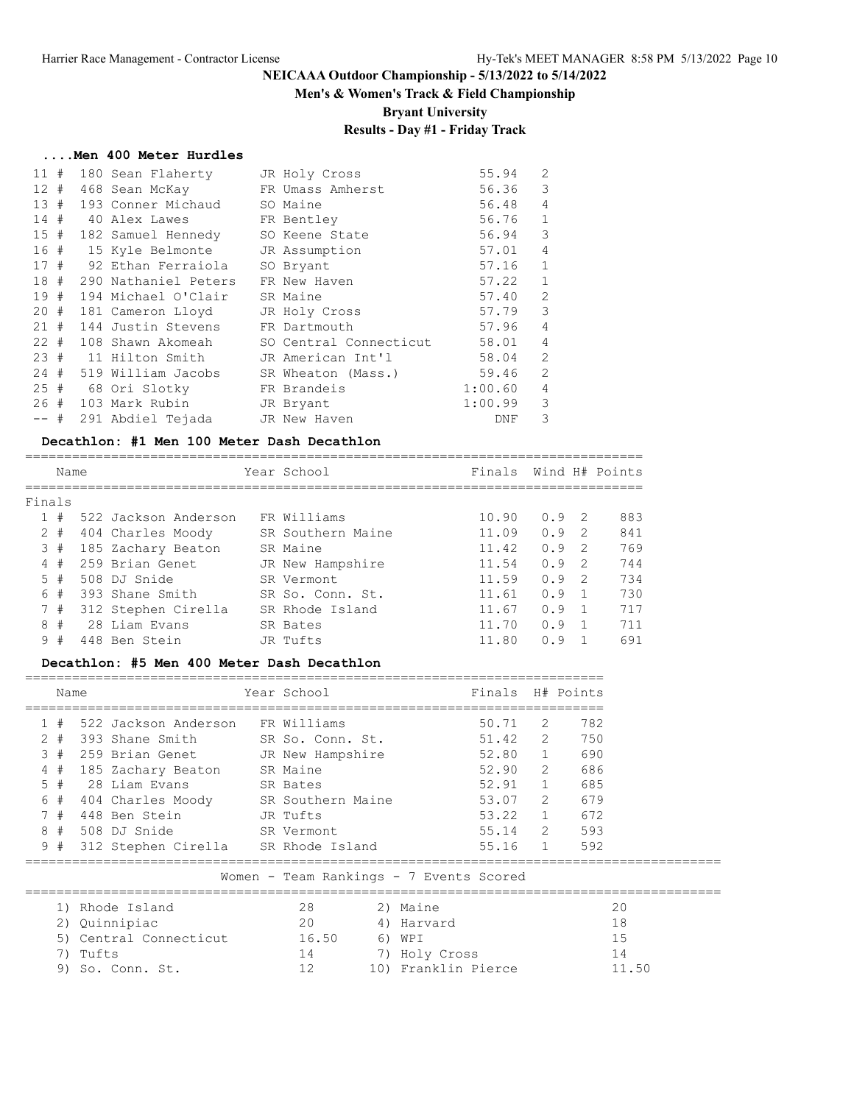## **Men's & Women's Track & Field Championship**

**Bryant University**

# **Results - Day #1 - Friday Track**

#### **....Men 400 Meter Hurdles**

| 11#    |  | 180 Sean Flaherty                   | JR Holy Cross                                       | 55.94   | $\overline{2}$ |
|--------|--|-------------------------------------|-----------------------------------------------------|---------|----------------|
| 12#    |  | 468 Sean McKay FR Umass Amherst     |                                                     | 56.36   | 3              |
|        |  | 13 # 193 Conner Michaud SO Maine    |                                                     | 56.48   | $\overline{4}$ |
|        |  | 14 # 40 Alex Lawes FR Bentley       |                                                     | 56.76 1 |                |
|        |  | 15 # 182 Samuel Hennedy             | SO Keene State                                      | 56.94 3 |                |
|        |  | 16 # 15 Kyle Belmonte JR Assumption |                                                     | 57.01   | 4              |
|        |  | 17 # 92 Ethan Ferraiola             | SO Bryant                                           | 57.16   | $\overline{1}$ |
|        |  | 18 # 290 Nathaniel Peters           | FR New Haven                                        | 57.22   | $\mathbf{1}$   |
| 19#    |  | 194 Michael O'Clair                 | SR Maine                                            | 57.40   | $\overline{2}$ |
|        |  | 20 # 181 Cameron Lloyd              | JR Holy Cross                                       | 57.79   | 3              |
| 21#    |  | 144 Justin Stevens 6 FR Dartmouth   |                                                     | 57.96   | 4              |
|        |  |                                     | 22 # 108 Shawn Akomeah SO Central Connecticut 58.01 |         | $\overline{4}$ |
|        |  |                                     | 23 # 11 Hilton Smith JR American Int'l              | 58.04   | 2              |
|        |  | 24 # 519 William Jacobs             | SR Wheaton (Mass.)                                  | 59.46   | 2              |
|        |  | 25 # 68 Ori Slotky FR Brandeis      |                                                     | 1:00.60 | 4              |
|        |  | 26 # 103 Mark Rubin JR Bryant       |                                                     | 1:00.99 | 3              |
| $--$ # |  | 291 Abdiel Tejada     JR New Haven  |                                                     | DNF     | 3              |

#### **Decathlon: #1 Men 100 Meter Dash Decathlon**

|        | Name  |  |                      | Year School       | Finals Wind H# Points |      |                |     |
|--------|-------|--|----------------------|-------------------|-----------------------|------|----------------|-----|
| Finals |       |  |                      |                   |                       |      |                |     |
|        | 1#    |  | 522 Jackson Anderson | FR Williams       | 10.90                 | 0.92 |                | 883 |
|        | $2 +$ |  | 404 Charles Moody    | SR Southern Maine | 11.09                 | 0.9  | - 2            | 841 |
|        | 3#    |  | 185 Zachary Beaton   | SR Maine          | 11.42                 | 0.9  | - 2            | 769 |
| 4      | #     |  | 259 Brian Genet      | JR New Hampshire  | 11.54                 | 0.9  | - 2            | 744 |
| 5.     | #     |  | 508 DJ Snide         | SR Vermont        | 11.59                 | 0.9  | - 2            | 734 |
| 6      | #     |  | 393 Shane Smith      | SR So. Conn. St.  | 11.61                 | 0.9  |                | 730 |
|        | 7#    |  | 312 Stephen Cirella  | SR Rhode Island   | 11.67                 | 0.9  | $\overline{1}$ | 717 |
|        | 8#    |  | 28 Liam Evans        | SR Bates          | 11.70                 | 0.9  |                | 711 |
| 9      | #     |  | 448 Ben Stein        | JR Tufts          | 11.80                 | n 9  |                | 691 |
|        |       |  |                      |                   |                       |      |                |     |

#### **Decathlon: #5 Men 400 Meter Dash Decathlon**

| Name                                    |                        |       |                                         | Year School |                  |            | Finals H# Points    |             |     |             |
|-----------------------------------------|------------------------|-------|-----------------------------------------|-------------|------------------|------------|---------------------|-------------|-----|-------------|
|                                         | 1#                     |       | 522 Jackson Anderson FR Williams        |             |                  |            | 50.71 2             |             | 782 |             |
|                                         | $2 +$                  |       | 393 Shane Smith                         |             | SR So. Conn. St. |            |                     | 51.42 2     |     | 750         |
|                                         | 3#                     |       | 259 Brian Genet JR New Hampshire        |             |                  |            |                     | 52.80 1     |     | 690         |
|                                         | 4#                     |       | 185 Zachary Beaton SR Maine             |             |                  |            |                     | 52.90 2     |     | 686         |
|                                         |                        |       | 5 # 28 Liam Evans SR Bates              |             |                  |            |                     | 52.91 1     |     | 685         |
|                                         |                        |       | 6 # 404 Charles Moody SR Southern Maine |             |                  |            |                     | 53.07 2     |     | 679         |
|                                         | 7#                     |       | 448 Ben Stein                           |             | JR Tufts         |            |                     | 53.22 1     |     | 672         |
|                                         |                        |       | 8 # 508 DJ Snide                        |             | SR Vermont       |            |                     |             |     | 55.14 2 593 |
|                                         |                        |       | 9 # 312 Stephen Cirella SR Rhode Island |             |                  |            |                     | 55.16 1 592 |     |             |
| Women - Team Rankings - 7 Events Scored |                        |       |                                         |             |                  |            |                     |             |     |             |
|                                         | 1) Rhode Island        |       |                                         | 28          |                  | 2) Maine   |                     |             |     |             |
|                                         | Quinnipiac<br>2)       |       |                                         | 20          |                  | 4) Harvard |                     |             |     |             |
|                                         | 5) Central Connecticut |       |                                         | 16.50       |                  | 6) WPI     |                     |             |     |             |
|                                         | 7)                     | Tufts |                                         |             | 14               |            | 7) Holy Cross       |             |     |             |
|                                         | 9)                     |       | So. Conn. St.                           |             | 12               |            | 10) Franklin Pierce |             |     |             |